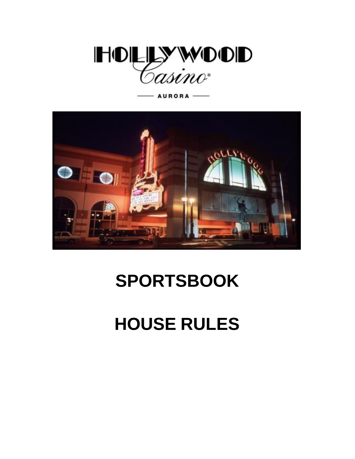



# **SPORTSBOOK**

# **HOUSE RULES**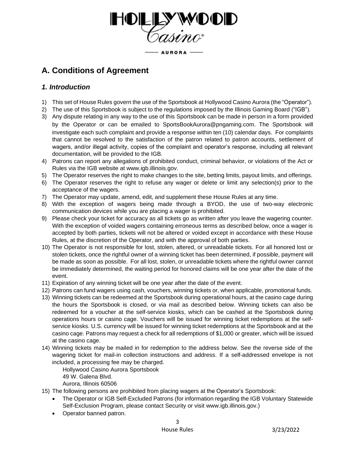

# **A. Conditions of Agreement**

# *1. Introduction*

- 1) This set of House Rules govern the use of the Sportsbook at Hollywood Casino Aurora (the "Operator").
- 2) The use of this Sportsbook is subject to the regulations imposed by the Illinois Gaming Board ("IGB").
- 3) Any dispute relating in any way to the use of this Sportsbook can be made in person in a form provided by the Operator or can be emailed to [SportsBookAurora@pngaming.com](mailto:SportsBookAurora@pngaming.com)[.](mailto:SportsBookAurora@pngaming.com) The Sportsbook will investigate each such complaint and provide a response within ten (10) calendar days. For complaints that cannot be resolved to the satisfaction of the patron related to patron accounts, settlement of wagers, and/or illegal activity, copies of the complaint and operator's response, including all relevant documentation, will be provided to the IGB.
- 4) Patrons can report any allegations of prohibited conduct, criminal behavior, or violations of the Act or Rules via the IGB website at [www.igb.illinois.gov.](http://www.igb.illinois.gov/)
- 5) The Operator reserves the right to make changes to the site, betting limits, payout limits, and offerings.
- 6) The Operator reserves the right to refuse any wager or delete or limit any selection(s) prior to the acceptance of the wagers.
- 7) The Operator may update, amend, edit, and supplement these House Rules at any time.
- 8) With the exception of wagers being made through a BYOD, the use of two-way electronic communication devices while you are placing a wager is prohibited.
- 9) Please check your ticket for accuracy as all tickets go as written after you leave the wagering counter. With the exception of voided wagers containing erroneous terms as described below, once a wager is accepted by both parties, tickets will not be altered or voided except in accordance with these House Rules, at the discretion of the Operator, and with the approval of both parties.
- 10) The Operator is not responsible for lost, stolen, altered, or unreadable tickets. For all honored lost or stolen tickets, once the rightful owner of a winning ticket has been determined, if possible, payment will be made as soon as possible. For all lost, stolen, or unreadable tickets where the rightful owner cannot be immediately determined, the waiting period for honored claims will be one year after the date of the event.
- 11) Expiration of any winning ticket will be one year after the date of the event.
- 12) Patrons can fund wagers using cash, vouchers, winning tickets or, when applicable, promotional funds.
- 13) Winning tickets can be redeemed at the Sportsbook during operational hours, at the casino cage during the hours the Sportsbook is closed, or via mail as described below. Winning tickets can also be redeemed for a voucher at the self-service kiosks, which can be cashed at the Sportsbook during operations hours or casino cage. Vouchers will be issued for winning ticket redemptions at the selfservice kiosks. U.S. currency will be issued for winning ticket redemptions at the Sportsbook and at the casino cage. Patrons may request a check for all redemptions of \$1,000 or greater, which will be issued at the casino cage.
- 14) Winning tickets may be mailed in for redemption to the address below. See the reverse side of the wagering ticket for mail-in collection instructions and address. If a self-addressed envelope is not included, a processing fee may be charged.

Hollywood Casino Aurora Sportsbook

- 49 W. Galena Blvd.
- Aurora, Illinois 60506
- 15) The following persons are prohibited from placing wagers at the Operator's Sportsbook:
	- The Operator or IGB Self-Excluded Patrons (for information regarding the IGB Voluntary Statewide Self-Exclusion Program, please contact Security or visit www.igb.illinois.gov.)
	- Operator banned patron.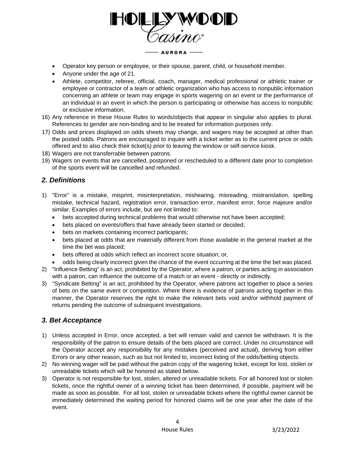

- Operator key person or employee, or their spouse, parent, child, or household member.
- Anyone under the age of 21.
- Athlete, competitor, referee, official, coach, manager, medical professional or athletic trainer or employee or contractor of a team or athletic organization who has access to nonpublic information concerning an athlete or team may engage in sports wagering on an event or the performance of an individual in an event in which the person is participating or otherwise has access to nonpublic or exclusive information.
- 16) Any reference in these House Rules to words/objects that appear in singular also applies to plural. References to gender are non-binding and to be treated for information purposes only.
- 17) Odds and prices displayed on odds sheets may change, and wagers may be accepted at other than the posted odds. Patrons are encouraged to inquire with a ticket writer as to the current price or odds offered and to also check their ticket(s) prior to leaving the window or self-service kiosk.
- 18) Wagers are not transferrable between patrons.
- 19) Wagers on events that are cancelled, postponed or rescheduled to a different date prior to completion of the sports event will be cancelled and refunded.

## *2. Definitions*

- 1) "Error" is a mistake, misprint, misinterpretation, mishearing, misreading, mistranslation, spelling mistake, technical hazard, registration error, transaction error, manifest error, force majeure and/or similar. Examples of errors include, but are not limited to:
	- bets accepted during technical problems that would otherwise not have been accepted;
	- bets placed on events/offers that have already been started or decided;
	- bets on markets containing incorrect participants;
	- bets placed at odds that are materially different from those available in the general market at the time the bet was placed;
	- bets offered at odds which reflect an incorrect score situation; or,
	- odds being clearly incorrect given the chance of the event occurring at the time the bet was placed.
- 2) "Influence Betting" is an act, prohibited by the Operator, where a patron, or parties acting in association with a patron, can influence the outcome of a match or an event - directly or indirectly.
- 3) "Syndicate Betting" is an act, prohibited by the Operator, where patrons act together to place a series of bets on the same event or competition. Where there is evidence of patrons acting together in this manner, the Operator reserves the right to make the relevant bets void and/or withhold payment of returns pending the outcome of subsequent investigations.

## *3. Bet Acceptance*

- 1) Unless accepted in Error, once accepted, a bet will remain valid and cannot be withdrawn. It is the responsibility of the patron to ensure details of the bets placed are correct. Under no circumstance will the Operator accept any responsibility for any mistakes (perceived and actual), deriving from either Errors or any other reason, such as but not limited to, incorrect listing of the odds/betting objects.
- 2) No winning wager will be paid without the patron copy of the wagering ticket, except for lost, stolen or unreadable tickets which will be honored as stated below.
- 3) Operator is not responsible for lost, stolen, altered or unreadable tickets. For all honored lost or stolen tickets, once the rightful owner of a winning ticket has been determined, if possible, payment will be made as soon as possible. For all lost, stolen or unreadable tickets where the rightful owner cannot be immediately determined the waiting period for honored claims will be one year after the date of the event.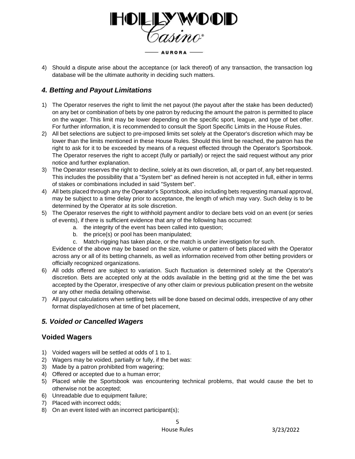

4) Should a dispute arise about the acceptance (or lack thereof) of any transaction, the transaction log database will be the ultimate authority in deciding such matters.

# *4. Betting and Payout Limitations*

- 1) The Operator reserves the right to limit the net payout (the payout after the stake has been deducted) on any bet or combination of bets by one patron by reducing the amount the patron is permitted to place on the wager. This limit may be lower depending on the specific sport, league, and type of bet offer. For further information, it is recommended to consult the Sport Specific Limits in the House Rules.
- 2) All bet selections are subject to pre-imposed limits set solely at the Operator's discretion which may be lower than the limits mentioned in these House Rules. Should this limit be reached, the patron has the right to ask for it to be exceeded by means of a request effected through the Operator's Sportsbook. The Operator reserves the right to accept (fully or partially) or reject the said request without any prior notice and further explanation.
- 3) The Operator reserves the right to decline, solely at its own discretion, all, or part of, any bet requested. This includes the possibility that a "System bet" as defined herein is not accepted in full, either in terms of stakes or combinations included in said "System bet".
- 4) All bets placed through any the Operator's Sportsbook, also including bets requesting manual approval, may be subject to a time delay prior to acceptance, the length of which may vary. Such delay is to be determined by the Operator at its sole discretion.
- 5) The Operator reserves the right to withhold payment and/or to declare bets void on an event (or series of events), if there is sufficient evidence that any of the following has occurred:
	- a. the integrity of the event has been called into question;
	- b. the price(s) or pool has been manipulated;
	- c. Match-rigging has taken place, or the match is under investigation for such.

Evidence of the above may be based on the size, volume or pattern of bets placed with the Operator across any or all of its betting channels, as well as information received from other betting providers or officially recognized organizations.

- 6) All odds offered are subject to variation. Such fluctuation is determined solely at the Operator's discretion. Bets are accepted only at the odds available in the betting grid at the time the bet was accepted by the Operator, irrespective of any other claim or previous publication present on the website or any other media detailing otherwise.
- 7) All payout calculations when settling bets will be done based on decimal odds, irrespective of any other format displayed/chosen at time of bet placement,

# *5. Voided or Cancelled Wagers*

# **Voided Wagers**

- 1) Voided wagers will be settled at odds of 1 to 1.
- 2) Wagers may be voided, partially or fully, if the bet was:
- 3) Made by a patron prohibited from wagering;
- 4) Offered or accepted due to a human error;
- 5) Placed while the Sportsbook was encountering technical problems, that would cause the bet to otherwise not be accepted;
- 6) Unreadable due to equipment failure;
- 7) Placed with incorrect odds;
- 8) On an event listed with an incorrect participant(s);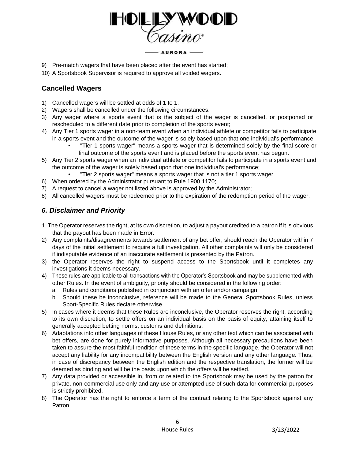

- 9) Pre-match wagers that have been placed after the event has started;
- 10) A Sportsbook Supervisor is required to approve all voided wagers.

# **Cancelled Wagers**

- 1) Cancelled wagers will be settled at odds of 1 to 1.
- 2) Wagers shall be cancelled under the following circumstances:
- 3) Any wager where a sports event that is the subject of the wager is cancelled, or postponed or rescheduled to a different date prior to completion of the sports event;
- 4) Any Tier 1 sports wager in a non-team event when an individual athlete or competitor fails to participate in a sports event and the outcome of the wager is solely based upon that one individual's performance;
	- "Tier 1 sports wager" means a sports wager that is determined solely by the final score or final outcome of the sports event and is placed before the sports event has begun.
- 5) Any Tier 2 sports wager when an individual athlete or competitor fails to participate in a sports event and the outcome of the wager is solely based upon that one individual's performance;
	- "Tier 2 sports wager" means a sports wager that is not a tier 1 sports wager.
- 6) When ordered by the Administrator pursuant to Rule 1900.1170;
- 7) A request to cancel a wager not listed above is approved by the Administrator;
- 8) All cancelled wagers must be redeemed prior to the expiration of the redemption period of the wager.

# *6. Disclaimer and Priority*

- 1. The Operator reserves the right, at its own discretion, to adjust a payout credited to a patron if it is obvious that the payout has been made in Error.
- 2) Any complaints/disagreements towards settlement of any bet offer, should reach the Operator within 7 days of the initial settlement to require a full investigation. All other complaints will only be considered if indisputable evidence of an inaccurate settlement is presented by the Patron.
- 3) the Operator reserves the right to suspend access to the Sportsbook until it completes any investigations it deems necessary.
- 4) These rules are applicable to all transactions with the Operator's Sportsbook and may be supplemented with other Rules. In the event of ambiguity, priority should be considered in the following order:
	- a. Rules and conditions published in conjunction with an offer and/or campaign;
	- b. Should these be inconclusive, reference will be made to the General Sportsbook Rules, unless Sport-Specific Rules declare otherwise.
- 5) In cases where it deems that these Rules are inconclusive, the Operator reserves the right, according to its own discretion, to settle offers on an individual basis on the basis of equity, attaining itself to generally accepted betting norms, customs and definitions.
- 6) Adaptations into other languages of these House Rules, or any other text which can be associated with bet offers, are done for purely informative purposes. Although all necessary precautions have been taken to assure the most faithful rendition of these terms in the specific language, the Operator will not accept any liability for any incompatibility between the English version and any other language. Thus, in case of discrepancy between the English edition and the respective translation, the former will be deemed as binding and will be the basis upon which the offers will be settled.
- 7) Any data provided or accessible in, from or related to the Sportsbook may be used by the patron for private, non-commercial use only and any use or attempted use of such data for commercial purposes is strictly prohibited.
- 8) The Operator has the right to enforce a term of the contract relating to the Sportsbook against any Patron.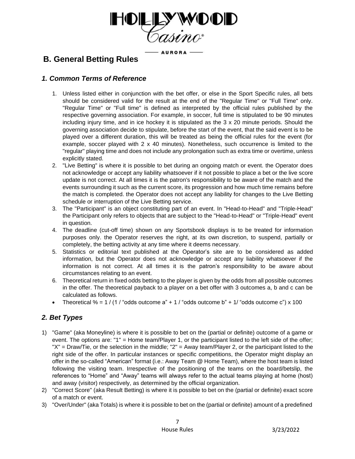

- AURORA -

# **B. General Betting Rules**

# *1. Common Terms of Reference*

- 1. Unless listed either in conjunction with the bet offer, or else in the Sport Specific rules, all bets should be considered valid for the result at the end of the "Regular Time" or "Full Time" only. "Regular Time" or "Full time" is defined as interpreted by the official rules published by the respective governing association. For example, in soccer, full time is stipulated to be 90 minutes including injury time, and in ice hockey it is stipulated as the 3 x 20 minute periods. Should the governing association decide to stipulate, before the start of the event, that the said event is to be played over a different duration, this will be treated as being the official rules for the event (for example, soccer played with 2 x 40 minutes). Nonetheless, such occurrence is limited to the "regular" playing time and does not include any prolongation such as extra time or overtime, unless explicitly stated.
- 2. "Live Betting" is where it is possible to bet during an ongoing match or event. the Operator does not acknowledge or accept any liability whatsoever if it not possible to place a bet or the live score update is not correct. At all times it is the patron's responsibility to be aware of the match and the events surrounding it such as the current score, its progression and how much time remains before the match is completed. the Operator does not accept any liability for changes to the Live Betting schedule or interruption of the Live Betting service.
- 3. The "Participant" is an object constituting part of an event. In "Head-to-Head" and "Triple-Head" the Participant only refers to objects that are subject to the "Head-to-Head" or "Triple-Head" event in question.
- 4. The deadline (cut-off time) shown on any Sportsbook displays is to be treated for information purposes only. the Operator reserves the right, at its own discretion, to suspend, partially or completely, the betting activity at any time where it deems necessary.
- 5. Statistics or editorial text published at the Operator's site are to be considered as added information, but the Operator does not acknowledge or accept any liability whatsoever if the information is not correct. At all times it is the patron's responsibility to be aware about circumstances relating to an event.
- 6. Theoretical return in fixed odds betting to the player is given by the odds from all possible outcomes in the offer. The theoretical payback to a player on a bet offer with 3 outcomes a, b and c can be calculated as follows.
- Theoretical % =  $1/(1/\text{°odds outcome a} + 1/\text{°odds outcome b} + 1/\text{°odds outcome c}^{\text{''}}) \times 100$

# *2. Bet Types*

- 1) "Game" (aka Moneyline) is where it is possible to bet on the (partial or definite) outcome of a game or event. The options are: "1" = Home team/Player 1, or the participant listed to the left side of the offer; "X" = Draw/Tie, or the selection in the middle; "2" = Away team/Player 2, or the participant listed to the right side of the offer. In particular instances or specific competitions, the Operator might display an offer in the so-called "American" format (i.e.: Away Team @ Home Team), where the host team is listed following the visiting team. Irrespective of the positioning of the teams on the board/betslip, the references to "Home" and "Away" teams will always refer to the actual teams playing at home (host) and away (visitor) respectively, as determined by the official organization.
- 2) "Correct Score" (aka Result Betting) is where it is possible to bet on the (partial or definite) exact score of a match or event.
- 3) "Over/Under" (aka Totals) is where it is possible to bet on the (partial or definite) amount of a predefined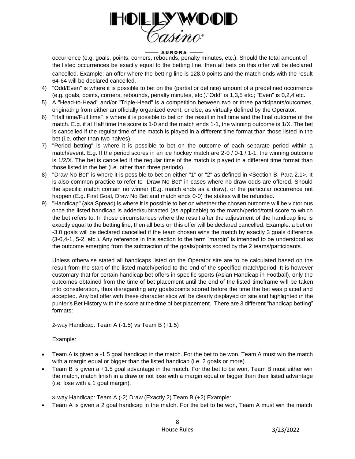

occurrence (e.g. goals, points, corners, rebounds, penalty minutes, etc.). Should the total amount of the listed occurrences be exactly equal to the betting line, then all bets on this offer will be declared cancelled. Example: an offer where the betting line is 128.0 points and the match ends with the result 64-64 will be declared cancelled.

- 4) "Odd/Even" is where it is possible to bet on the (partial or definite) amount of a predefined occurrence (e.g. goals, points, corners, rebounds, penalty minutes, etc.)."Odd" is 1,3,5 etc.; "Even" is 0,2,4 etc.
- 5) A "Head-to-Head" and/or "Triple-Head" is a competition between two or three participants/outcomes, originating from either an officially organized event, or else, as virtually defined by the Operator.
- 6) "Half time/Full time" is where it is possible to bet on the result in half time and the final outcome of the match. E.g. if at Half time the score is 1-0 and the match ends 1-1, the winning outcome is 1/X. The bet is cancelled if the regular time of the match is played in a different time format than those listed in the bet (i.e. other than two halves).
- 7) "Period betting" is where it is possible to bet on the outcome of each separate period within a match/event. E.g. If the period scores in an ice hockey match are 2-0 / 0-1 / 1-1, the winning outcome is 1/2/X. The bet is cancelled if the regular time of the match is played in a different time format than those listed in the bet (i.e. other than three periods).
- 8) "Draw No Bet" is where it is possible to bet on either "1" or "2" as defined in <Section B, Para 2.1>. It is also common practice to refer to "Draw No Bet" in cases where no draw odds are offered. Should the specific match contain no winner (E.g. match ends as a draw), or the particular occurrence not happen (E.g. First Goal, Draw No Bet and match ends 0-0) the stakes will be refunded.
- 9) "Handicap" (aka Spread) is where it is possible to bet on whether the chosen outcome will be victorious once the listed handicap is added/subtracted (as applicable) to the match/period/total score to which the bet refers to. In those circumstances where the result after the adjustment of the handicap line is exactly equal to the betting line, then all bets on this offer will be declared cancelled. Example: a bet on -3.0 goals will be declared cancelled if the team chosen wins the match by exactly 3 goals difference (3-0,4-1, 5-2, etc.). Any reference in this section to the term "margin" is intended to be understood as the outcome emerging from the subtraction of the goals/points scored by the 2 teams/participants.

Unless otherwise stated all handicaps listed on the Operator site are to be calculated based on the result from the start of the listed match/period to the end of the specified match/period. It is however customary that for certain handicap bet offers in specific sports (Asian Handicap in Football), only the outcomes obtained from the time of bet placement until the end of the listed timeframe will be taken into consideration, thus disregarding any goals/points scored before the time the bet was placed and accepted. Any bet offer with these characteristics will be clearly displayed on site and highlighted in the punter's Bet History with the score at the time of bet placement. There are 3 different "handicap betting" formats:

2-way Handicap: Team A (-1.5) vs Team B (+1.5)

Example:

- Team A is given a -1.5 goal handicap in the match. For the bet to be won, Team A must win the match with a margin equal or bigger than the listed handicap (i.e. 2 goals or more).
- Team B is given a +1.5 goal advantage in the match. For the bet to be won, Team B must either win the match, match finish in a draw or not lose with a margin equal or bigger than their listed advantage (i.e. lose with a 1 goal margin).

3-way Handicap: Team A (-2) Draw (Exactly 2) Team B (+2) Example:

• Team A is given a 2 goal handicap in the match. For the bet to be won, Team A must win the match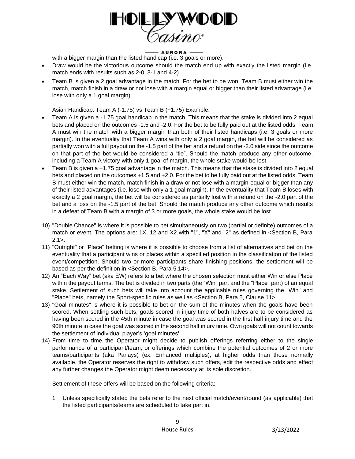

with a bigger margin than the listed handicap (i.e. 3 goals or more).

- Draw would be the victorious outcome should the match end up with exactly the listed margin (i.e. match ends with results such as 2-0, 3-1 and 4-2).
- Team B is given a 2 goal advantage in the match. For the bet to be won, Team B must either win the match, match finish in a draw or not lose with a margin equal or bigger than their listed advantage (i.e. lose with only a 1 goal margin).

Asian Handicap: Team A (-1.75) vs Team B (+1.75) Example:

- Team A is given a -1.75 goal handicap in the match. This means that the stake is divided into 2 equal bets and placed on the outcomes -1.5 and -2.0. For the bet to be fully paid out at the listed odds, Team A must win the match with a bigger margin than both of their listed handicaps (i.e. 3 goals or more margin). In the eventuality that Team A wins with only a 2 goal margin, the bet will be considered as partially won with a full payout on the -1.5 part of the bet and a refund on the -2.0 side since the outcome on that part of the bet would be considered a "tie". Should the match produce any other outcome, including a Team A victory with only 1 goal of margin, the whole stake would be lost.
- Team B is given a +1.75 goal advantage in the match. This means that the stake is divided into 2 equal bets and placed on the outcomes +1.5 and +2.0. For the bet to be fully paid out at the listed odds, Team B must either win the match, match finish in a draw or not lose with a margin equal or bigger than any of their listed advantages (i.e. lose with only a 1 goal margin). In the eventuality that Team B loses with exactly a 2 goal margin, the bet will be considered as partially lost with a refund on the -2.0 part of the bet and a loss on the -1.5 part of the bet. Should the match produce any other outcome which results in a defeat of Team B with a margin of 3 or more goals, the whole stake would be lost.
- 10) "Double Chance" is where it is possible to bet simultaneously on two (partial or definite) outcomes of a match or event. The options are: 1X, 12 and X2 with "1", "X" and "2" as defined in <Section B, Para  $2.1$
- 11) "Outright" or "Place" betting is where it is possible to choose from a list of alternatives and bet on the eventuality that a participant wins or places within a specified position in the classification of the listed event/competition. Should two or more participants share finishing positions, the settlement will be based as per the definition in <Section B, Para 5.14>.
- 12) An "Each Way" bet (aka EW) refers to a bet where the chosen selection must either Win or else Place within the payout terms. The bet is divided in two parts (the "Win" part and the "Place" part) of an equal stake. Settlement of such bets will take into account the applicable rules governing the "Win" and "Place" bets, namely the Sport-specific rules as well as <Section B, Para 5, Clause 11>.
- 13) "Goal minutes" is where it is possible to bet on the sum of the minutes when the goals have been scored. When settling such bets, goals scored in injury time of both halves are to be considered as having been scored in the 45th minute in case the goal was scored in the first half injury time and the 90th minute in case the goal was scored in the second half injury time. Own goals will not count towards the settlement of individual player's 'goal minutes'.
- 14) From time to time the Operator might decide to publish offerings referring either to the single performance of a participant/team; or offerings which combine the potential outcomes of 2 or more teams/participants (aka Parlays) (ex. Enhanced multiples), at higher odds than those normally available. the Operator reserves the right to withdraw such offers, edit the respective odds and effect any further changes the Operator might deem necessary at its sole discretion.

Settlement of these offers will be based on the following criteria:

1. Unless specifically stated the bets refer to the next official match/event/round (as applicable) that the listed participants/teams are scheduled to take part in.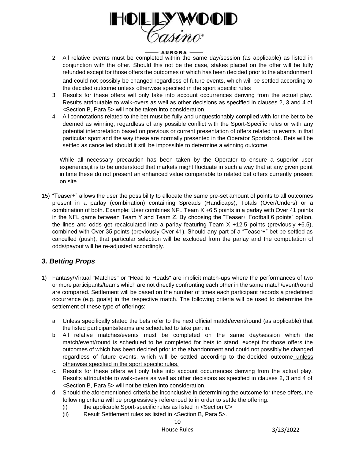

- 2. All relative events must be completed within the same day/session (as applicable) as listed in conjunction with the offer. Should this not be the case, stakes placed on the offer will be fully refunded except for those offers the outcomes of which has been decided prior to the abandonment and could not possibly be changed regardless of future events, which will be settled according to the decided outcome unless otherwise specified in the sport specific rules
- 3. Results for these offers will only take into account occurrences deriving from the actual play. Results attributable to walk-overs as well as other decisions as specified in clauses 2, 3 and 4 of <Section B, Para 5> will not be taken into consideration.
- 4. All connotations related to the bet must be fully and unquestionably complied with for the bet to be deemed as winning, regardless of any possible conflict with the Sport-Specific rules or with any potential interpretation based on previous or current presentation of offers related to events in that particular sport and the way these are normally presented in the Operator Sportsbook. Bets will be settled as cancelled should it still be impossible to determine a winning outcome.

While all necessary precaution has been taken by the Operator to ensure a superior user experience,it is to be understood that markets might fluctuate in such a way that at any given point in time these do not present an enhanced value comparable to related bet offers currently present on site.

15) "Teaser+" allows the user the possibility to allocate the same pre-set amount of points to all outcomes present in a parlay (combination) containing Spreads (Handicaps), Totals (Over/Unders) or a combination of both. Example: User combines NFL Team X +6.5 points in a parlay with Over 41 points in the NFL game between Team Y and Team Z. By choosing the "Teaser+ Football 6 points" option, the lines and odds get recalculated into a parlay featuring Team  $X +12.5$  points (previously  $+6.5$ ), combined with Over 35 points (previously Over 41). Should any part of a "Teaser+" bet be settled as cancelled (push), that particular selection will be excluded from the parlay and the computation of odds/payout will be re-adjusted accordingly.

# *3. Betting Props*

- 1) Fantasy/Virtual "Matches" or "Head to Heads" are implicit match-ups where the performances of two or more participants/teams which are not directly confronting each other in the same match/event/round are compared. Settlement will be based on the number of times each participant records a predefined occurrence (e.g. goals) in the respective match. The following criteria will be used to determine the settlement of these type of offerings:
	- a. Unless specifically stated the bets refer to the next official match/event/round (as applicable) that the listed participants/teams are scheduled to take part in.
	- b. All relative matches/events must be completed on the same day/session which the match/event/round is scheduled to be completed for bets to stand, except for those offers the outcomes of which has been decided prior to the abandonment and could not possibly be changed regardless of future events, which will be settled according to the decided outcome unless otherwise specified in the sport specific rules.
	- c. Results for these offers will only take into account occurrences deriving from the actual play. Results attributable to walk-overs as well as other decisions as specified in clauses 2, 3 and 4 of <Section B, Para 5> will not be taken into consideration.
	- d. Should the aforementioned criteria be inconclusive in determining the outcome for these offers, the following criteria will be progressively referenced to in order to settle the offering:
		- (i) the applicable Sport-specific rules as listed in <Section C>
		- (ii) Result Settlement rules as listed in <Section B, Para 5>.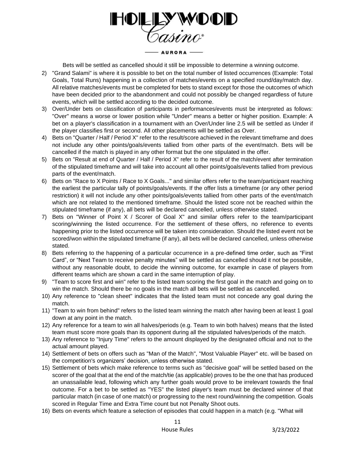

Bets will be settled as cancelled should it still be impossible to determine a winning outcome.

- 2) "Grand Salami" is where it is possible to bet on the total number of listed occurrences (Example: Total Goals, Total Runs) happening in a collection of matches/events on a specified round/day/match day. All relative matches/events must be completed for bets to stand except for those the outcomes of which have been decided prior to the abandonment and could not possibly be changed regardless of future events, which will be settled according to the decided outcome.
- 3) Over/Under bets on classification of participants in performances/events must be interpreted as follows: "Over" means a worse or lower position while "Under" means a better or higher position. Example: A bet on a player's classification in a tournament with an Over/Under line 2.5 will be settled as Under if the player classifies first or second. All other placements will be settled as Over.
- 4) Bets on "Quarter / Half / Period X" refer to the result/score achieved in the relevant timeframe and does not include any other points/goals/events tallied from other parts of the event/match. Bets will be cancelled if the match is played in any other format but the one stipulated in the offer.
- 5) Bets on "Result at end of Quarter / Half / Period X" refer to the result of the match/event after termination of the stipulated timeframe and will take into account all other points/goals/events tallied from previous parts of the event/match.
- 6) Bets on "Race to X Points / Race to X Goals..." and similar offers refer to the team/participant reaching the earliest the particular tally of points/goals/events. If the offer lists a timeframe (or any other period restriction) it will not include any other points/goals/events tallied from other parts of the event/match which are not related to the mentioned timeframe. Should the listed score not be reached within the stipulated timeframe (if any), all bets will be declared cancelled, unless otherwise stated.
- 7) Bets on "Winner of Point X / Scorer of Goal X" and similar offers refer to the team/participant scoring/winning the listed occurrence. For the settlement of these offers, no reference to events happening prior to the listed occurrence will be taken into consideration. Should the listed event not be scored/won within the stipulated timeframe (if any), all bets will be declared cancelled, unless otherwise stated.
- 8) Bets referring to the happening of a particular occurrence in a pre-defined time order, such as "First Card", or "Next Team to receive penalty minutes" will be settled as cancelled should it not be possible, without any reasonable doubt, to decide the winning outcome, for example in case of players from different teams which are shown a card in the same interruption of play.
- 9) "Team to score first and win" refer to the listed team scoring the first goal in the match and going on to win the match. Should there be no goals in the match all bets will be settled as cancelled.
- 10) Any reference to "clean sheet" indicates that the listed team must not concede any goal during the match.
- 11) "Team to win from behind" refers to the listed team winning the match after having been at least 1 goal down at any point in the match.
- 12) Any reference for a team to win all halves/periods (e.g. Team to win both halves) means that the listed team must score more goals than its opponent during all the stipulated halves/periods of the match.
- 13) Any reference to "Injury Time" refers to the amount displayed by the designated official and not to the actual amount played.
- 14) Settlement of bets on offers such as "Man of the Match", "Most Valuable Player" etc. will be based on the competition's organizers' decision, unless otherwise stated.
- 15) Settlement of bets which make reference to terms such as "decisive goal" will be settled based on the scorer of the goal that at the end of the match/tie (as applicable) proves to be the one that has produced an unassailable lead, following which any further goals would prove to be irrelevant towards the final outcome. For a bet to be settled as "YES" the listed player's team must be declared winner of that particular match (in case of one match) or progressing to the next round/winning the competition. Goals scored in Regular Time and Extra Time count but not Penalty Shoot outs.
- 16) Bets on events which feature a selection of episodes that could happen in a match (e.g. "What will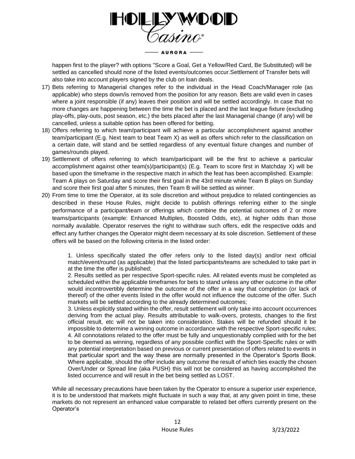

happen first to the player? with options "Score a Goal, Get a Yellow/Red Card, Be Substituted) will be settled as cancelled should none of the listed events/outcomes occur.Settlement of Transfer bets will also take into account players signed by the club on loan deals.

- 17) Bets referring to Managerial changes refer to the individual in the Head Coach/Manager role (as applicable) who steps down/is removed from the position for any reason. Bets are valid even in cases where a joint responsible (if any) leaves their position and will be settled accordingly. In case that no more changes are happening between the time the bet is placed and the last league fixture (excluding play-offs, play-outs, post season, etc.) the bets placed after the last Managerial change (if any) will be cancelled, unless a suitable option has been offered for betting.
- 18) Offers referring to which team/participant will achieve a particular accomplishment against another team/participant (E.g. Next team to beat Team X) as well as offers which refer to the classification on a certain date, will stand and be settled regardless of any eventual fixture changes and number of games/rounds played.
- 19) Settlement of offers referring to which team/participant will be the first to achieve a particular accomplishment against other team(s)/participant(s) (E.g. Team to score first in Matchday X) will be based upon the timeframe in the respective match in which the feat has been accomplished. Example: Team A plays on Saturday and score their first goal in the 43rd minute while Team B plays on Sunday and score their first goal after 5 minutes, then Team B will be settled as winner.
- 20) From time to time the Operator, at its sole discretion and without prejudice to related contingencies as described in these House Rules, might decide to publish offerings referring either to the single performance of a participant/team or offerings which combine the potential outcomes of 2 or more teams/participants (example: Enhanced Multiples, Boosted Odds, etc), at higher odds than those normally available. Operator reserves the right to withdraw such offers, edit the respective odds and effect any further changes the Operator might deem necessary at its sole discretion. Settlement of these offers will be based on the following criteria in the listed order:

1. Unless specifically stated the offer refers only to the listed day(s) and/or next official match/event/round (as applicable) that the listed participants/teams are scheduled to take part in at the time the offer is published;

2. Results settled as per respective Sport-specific rules. All related events must be completed as scheduled within the applicable timeframes for bets to stand unless any other outcome in the offer would incontrovertibly determine the outcome of the offer in a way that completion (or lack of thereof) of the other events listed in the offer would not influence the outcome of the offer. Such markets will be settled according to the already determined outcomes;

3. Unless explicitly stated within the offer, result settlement will only take into account occurrences deriving from the actual play. Results attributable to walk-overs, protests, changes to the first official result, etc will not be taken into consideration. Stakes will be refunded should it be impossible to determine a winning outcome in accordance with the respective Sport-specific rules; 4. All connotations related to the offer must be fully and unquestionably complied with for the bet to be deemed as winning, regardless of any possible conflict with the Sport-Specific rules or with any potential interpretation based on previous or current presentation of offers related to events in that particular sport and the way these are normally presented in the Operator's Sports Book. Where applicable, should the offer include any outcome the result of which ties exactly the chosen Over/Under or Spread line (aka PUSH) this will not be considered as having accomplished the listed occurrence and will result in the bet being settled as LOST.

While all necessary precautions have been taken by the Operator to ensure a superior user experience, it is to be understood that markets might fluctuate in such a way that, at any given point in time, these markets do not represent an enhanced value comparable to related bet offers currently present on the Operator's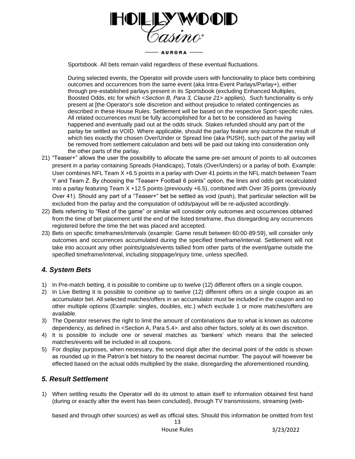

Sportsbook. All bets remain valid regardless of these eventual fluctuations.

During selected events, the Operator will provide users with functionality to place bets combining outcomes and occurrences from the same event (aka Intra-Event Parlays/Parlay+), either through pre-established parlays present in its Sportsbook (excluding Enhanced Multiples, Boosted Odds, etc for which <*Section B, Para 3, Clause 21>* applies). Such functionality is only present at [the Operator's sole discretion and without prejudice to related contingencies as described in these House Rules. Settlement will be based on the respective Sport-specific rules. All related occurrences must be fully accomplished for a bet to be considered as having happened and eventually paid out at the odds struck. Stakes refunded should any part of the parlay be settled as VOID. Where applicable, should the parlay feature any outcome the result of which ties exactly the chosen Over/Under or Spread line (aka PUSH), such part of the parlay will be removed from settlement calculation and bets will be paid out taking into consideration only the other parts of the parlay.

- 21) "Teaser+" allows the user the possibility to allocate the same pre-set amount of points to all outcomes present in a parlay containing Spreads (Handicaps), Totals (Over/Unders) or a parlay of both. Example: User combines NFL Team X +6.5 points in a parlay with Over 41 points in the NFL match between Team Y and Team Z. By choosing the "Teaser+ Football 6 points" option, the lines and odds get recalculated into a parlay featuring Team X +12.5 points (previously +6.5), combined with Over 35 points (previously Over 41). Should any part of a "Teaser+" bet be settled as void (push), that particular selection will be excluded from the parlay and the computation of odds/payout will be re-adjusted accordingly.
- 22) Bets referring to "Rest of the game" or similar will consider only outcomes and occurrences obtained from the time of bet placement until the end of the listed timeframe, thus disregarding any occurrences registered before the time the bet was placed and accepted.
- 23) Bets on specific timeframes/intervals (example: Game result between 60:00-89:59), will consider only outcomes and occurrences accumulated during the specified timeframe/interval. Settlement will not take into account any other points/goals/events tallied from other parts of the event/game outside the specified timeframe/interval, including stoppage/injury time, unless specified.

# *4. System Bets*

- 1) In Pre-match betting, it is possible to combine up to twelve (12) different offers on a single coupon.
- 2) In Live Betting it is possible to combine up to twelve (12) different offers on a single coupon as an accumulator bet. All selected matches/offers in an accumulator must be included in the coupon and no other multiple options (Example: singles, doubles, etc.) which exclude 1 or more matches/offers are available.
- 3) The Operator reserves the right to limit the amount of combinations due to what is known as outcome dependency, as defined in <Section A, Para 5.4>. and also other factors, solely at its own discretion.
- 4) It is possible to include one or several matches as 'bankers' which means that the selected matches/events will be included in all coupons.
- 5) For display purposes, when necessary, the second digit after the decimal point of the odds is shown as rounded up in the Patron's bet history to the nearest decimal number. The payout will however be effected based on the actual odds multiplied by the stake, disregarding the aforementioned rounding.

# *5. Result Settlement*

1) When settling results the Operator will do its utmost to attain itself to information obtained first hand (during or exactly after the event has been concluded), through TV transmissions, streaming (web-

based and through other sources) as well as official sites. Should this information be omitted from first

13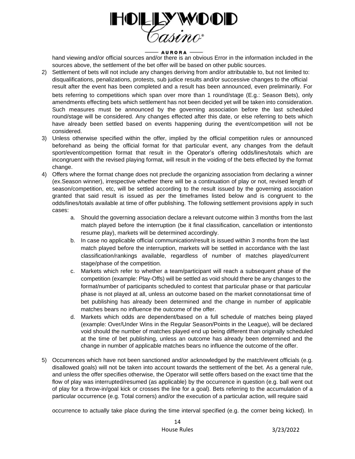

hand viewing and/or official sources and/or there is an obvious Error in the information included in the sources above, the settlement of the bet offer will be based on other public sources.

- 2) Settlement of bets will not include any changes deriving from and/or attributable to, but not limited to: disqualifications, penalizations, protests, sub judice results and/or successive changes to the official result after the event has been completed and a result has been announced, even preliminarily. For bets referring to competitions which span over more than 1 round/stage (E.g.: Season Bets), only amendments effecting bets which settlement has not been decided yet will be taken into consideration. Such measures must be announced by the governing association before the last scheduled round/stage will be considered. Any changes effected after this date, or else referring to bets which have already been settled based on events happening during the event/competition will not be considered.
- 3) Unless otherwise specified within the offer, implied by the official competition rules or announced beforehand as being the official format for that particular event, any changes from the default sport/event/competition format that result in the Operator's offering odds/lines/totals which are incongruent with the revised playing format, will result in the voiding of the bets effected by the format change.
- 4) Offers where the format change does not preclude the organizing association from declaring a winner (ex.Season winner), irrespective whether there will be a continuation of play or not, revised length of season/competition, etc, will be settled according to the result issued by the governing association granted that said result is issued as per the timeframes listed below and is congruent to the odds/lines/totals available at time of offer publishing. The following settlement provisions apply in such cases:
	- a. Should the governing association declare a relevant outcome within 3 months from the last match played before the interruption (be it final classification, cancellation or intentionsto resume play), markets will be determined accordingly.
	- b. In case no applicable official communication/result is issued within 3 months from the last match played before the interruption, markets will be settled in accordance with the last classification/rankings available, regardless of number of matches played/current stage/phase of the competition.
	- c. Markets which refer to whether a team/participant will reach a subsequent phase of the competition (example: Play-Offs) will be settled as void should there be any changes to the format/number of participants scheduled to contest that particular phase or that particular phase is not played at all, unless an outcome based on the market connotationsat time of bet publishing has already been determined and the change in number of applicable matches bears no influence the outcome of the offer.
	- d. Markets which odds are dependent/based on a full schedule of matches being played (example: Over/Under Wins in the Regular Season/Points in the League), will be declared void should the number of matches played end up being different than originally scheduled at the time of bet publishing, unless an outcome has already been determined and the change in number of applicable matches bears no influence the outcome of the offer.
- 5) Occurrences which have not been sanctioned and/or acknowledged by the match/event officials (e.g. disallowed goals) will not be taken into account towards the settlement of the bet. As a general rule, and unless the offer specifies otherwise, the Operator will settle offers based on the exact time that the flow of play was interrupted/resumed (as applicable) by the occurrence in question (e.g. ball went out of play for a throw-in/goal kick or crosses the line for a goal). Bets referring to the accumulation of a particular occurrence (e.g. Total corners) and/or the execution of a particular action, will require said

occurrence to actually take place during the time interval specified (e.g. the corner being kicked). In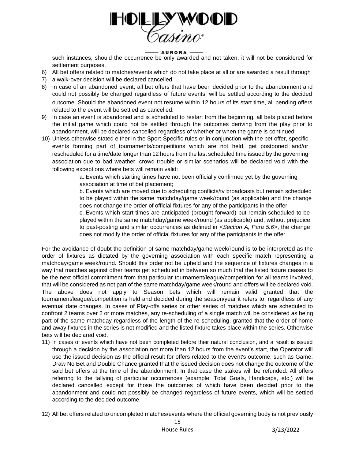

such instances, should the occurrence be only awarded and not taken, it will not be considered for settlement purposes.

- 6) All bet offers related to matches/events which do not take place at all or are awarded a result through
- 7) a walk-over decision will be declared cancelled.
- 8) In case of an abandoned event, all bet offers that have been decided prior to the abandonment and could not possibly be changed regardless of future events, will be settled according to the decided outcome. Should the abandoned event not resume within 12 hours of its start time, all pending offers related to the event will be settled as cancelled.
- 9) In case an event is abandoned and is scheduled to restart from the beginning, all bets placed before the initial game which could not be settled through the outcomes deriving from the play prior to abandonment, will be declared cancelled regardless of whether or when the game is continued
- 10) Unless otherwise stated either in the Sport-Specific rules or in conjunction with the bet offer, specific events forming part of tournaments/competitions which are not held, get postponed and/or rescheduled for a time/date longer than 12 hours from the last scheduled time issued by the governing association due to bad weather, crowd trouble or similar scenarios will be declared void with the following exceptions where bets will remain valid:

a. Events which starting times have not been officially confirmed yet by the governing association at time of bet placement;

b. Events which are moved due to scheduling conflicts/tv broadcasts but remain scheduled to be played within the same matchday/game week/round (as applicable) and the change does not change the order of official fixtures for any of the participants in the offer;

c. Events which start times are anticipated (brought forward) but remain scheduled to be played within the same matchday/game week/round (as applicable) and, without prejudice to past-posting and similar occurrences as defined in *<Section A, Para 5.6>*, the change does not modify the order of official fixtures for any of the participants in the offer.

For the avoidance of doubt the definition of same matchday/game week/round is to be interpreted as the order of fixtures as dictated by the governing association with each specific match representing a matchday/game week/round. Should this order not be upheld and the sequence of fixtures changes in a way that matches against other teams get scheduled in between so much that the listed fixture ceases to be the next official commitment from that particular tournament/league/competition for all teams involved, that will be considered as not part of the same matchday/game week/round and offers will be declared void. The above does not apply to Season bets which will remain valid granted that the tournament/league/competition is held and decided during the season/year it refers to, regardless of any eventual date changes. In cases of Play-offs series or other series of matches which are scheduled to confront 2 teams over 2 or more matches, any re-scheduling of a single match will be considered as being part of the same matchday regardless of the length of the re-scheduling, granted that the order of home and away fixtures in the series is not modified and the listed fixture takes place within the series. Otherwise bets will be declared void.

- 11) In cases of events which have not been completed before their natural conclusion, and a result is issued through a decision by the association not more than 12 hours from the event's start, the Operator will use the issued decision as the official result for offers related to the event's outcome, such as Game, Draw No Bet and Double Chance granted that the issued decision does not change the outcome of the said bet offers at the time of the abandonment. In that case the stakes will be refunded. All offers referring to the tallying of particular occurrences (example: Total Goals, Handicaps, etc.) will be declared cancelled except for those the outcomes of which have been decided prior to the abandonment and could not possibly be changed regardless of future events, which will be settled according to the decided outcome.
- 12) All bet offers related to uncompleted matches/events where the official governing body is not previously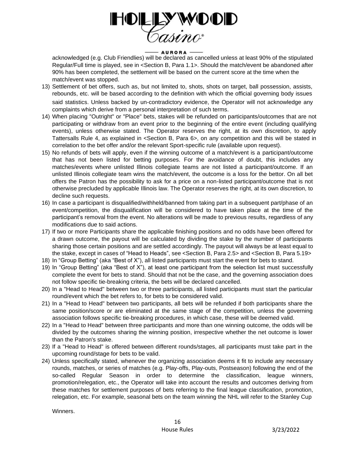

## - AURORA -

acknowledged (e.g. Club Friendlies) will be declared as cancelled unless at least 90% of the stipulated Regular/Full time is played, see in <Section B, Para 1.1>. Should the match/event be abandoned after 90% has been completed, the settlement will be based on the current score at the time when the match/event was stopped.

- 13) Settlement of bet offers, such as, but not limited to, shots, shots on target, ball possession, assists, rebounds, etc. will be based according to the definition with which the official governing body issues said statistics. Unless backed by un-contradictory evidence, the Operator will not acknowledge any complaints which derive from a personal interpretation of such terms.
- 14) When placing "Outright" or "Place" bets, stakes will be refunded on participants/outcomes that are not participating or withdraw from an event prior to the beginning of the entire event (including qualifying events), unless otherwise stated. The Operator reserves the right, at its own discretion, to apply Tattersalls Rule 4, as explained in <Section B, Para 6>, on any competition and this will be stated in correlation to the bet offer and/or the relevant Sport-specific rule (available upon request).
- 15) No refunds of bets will apply, even if the winning outcome of a match/event is a participant/outcome that has not been listed for betting purposes. For the avoidance of doubt, this includes any matches/events where unlisted Illinois collegiate teams are not listed a participant/outcome. If an unlisted Illinois collegiate team wins the match/event, the outcome is a loss for the bettor. On all bet offers the Patron has the possibility to ask for a price on a non-listed participant/outcome that is not otherwise precluded by applicable Illinois law. The Operator reserves the right, at its own discretion, to decline such requests.
- 16) In case a participant is disqualified/withheld/banned from taking part in a subsequent part/phase of an event/competition, the disqualification will be considered to have taken place at the time of the participant's removal from the event. No alterations will be made to previous results, regardless of any modifications due to said actions.
- 17) If two or more Participants share the applicable finishing positions and no odds have been offered for a drawn outcome, the payout will be calculated by dividing the stake by the number of participants sharing those certain positions and are settled accordingly. The payout will always be at least equal to the stake, except in cases of "Head to Heads", see <Section B, Para 2.5> and <Section B, Para 5.19>
- 18) In "Group Betting" (aka "Best of X"), all listed participants must start the event for bets to stand.
- 19) In "Group Betting" (aka "Best of X"), at least one participant from the selection list must successfully complete the event for bets to stand. Should that not be the case, and the governing association does not follow specific tie-breaking criteria, the bets will be declared cancelled.
- 20) In a "Head to Head" between two or three participants, all listed participants must start the particular round/event which the bet refers to, for bets to be considered valid.
- 21) In a "Head to Head" between two participants, all bets will be refunded if both participants share the same position/score or are eliminated at the same stage of the competition, unless the governing association follows specific tie-breaking procedures, in which case, these will be deemed valid.
- 22) In a "Head to Head" between three participants and more than one winning outcome, the odds will be divided by the outcomes sharing the winning position, irrespective whether the net outcome is lower than the Patron's stake.
- 23) If a "Head to Head" is offered between different rounds/stages, all participants must take part in the upcoming round/stage for bets to be valid.
- 24) Unless specifically stated, whenever the organizing association deems it fit to include any necessary rounds, matches, or series of matches (e.g. Play-offs, Play-outs, Postseason) following the end of the so-called Regular Season in order to determine the classification, league winners, promotion/relegation, etc., the Operator will take into account the results and outcomes deriving from these matches for settlement purposes of bets referring to the final league classification, promotion, relegation, etc. For example, seasonal bets on the team winning the NHL will refer to the Stanley Cup

Winners.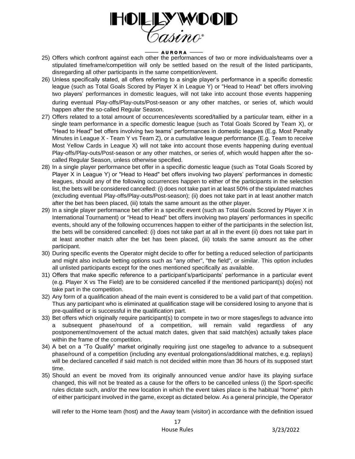

- 25) Offers which confront against each other the performances of two or more individuals/teams over a stipulated timeframe/competition will only be settled based on the result of the listed participants, disregarding all other participants in the same competition/event.
- 26) Unless specifically stated, all offers referring to a single player's performance in a specific domestic league (such as Total Goals Scored by Player X in League Y) or "Head to Head" bet offers involving two players' performances in domestic leagues, will not take into account those events happening during eventual Play-offs/Play-outs/Post-season or any other matches, or series of, which would happen after the so-called Regular Season.
- 27) Offers related to a total amount of occurrences/events scored/tallied by a particular team, either in a single team performance in a specific domestic league (such as Total Goals Scored by Team X), or "Head to Head" bet offers involving two teams' performances in domestic leagues (E.g. Most Penalty Minutes in League X - Team Y vs Team Z), or a cumulative league performance (E.g. Team to receive Most Yellow Cards in League X) will not take into account those events happening during eventual Play-offs/Play-outs/Post-season or any other matches, or series of, which would happen after the socalled Regular Season, unless otherwise specified.
- 28) In a single player performance bet offer in a specific domestic league (such as Total Goals Scored by Player X in League Y) or "Head to Head" bet offers involving two players' performances in domestic leagues, should any of the following occurrences happen to either of the participants in the selection list, the bets will be considered cancelled: (i) does not take part in at least 50% of the stipulated matches (excluding eventual Play-offs/Play-outs/Post-season); (ii) does not take part in at least another match after the bet has been placed, (iii) totals the same amount as the other player.
- 29) In a single player performance bet offer in a specific event (such as Total Goals Scored by Player X in International Tournament) or "Head to Head" bet offers involving two players' performances in specific events, should any of the following occurrences happen to either of the participants in the selection list, the bets will be considered cancelled: (i) does not take part at all in the event (ii) does not take part in at least another match after the bet has been placed, (iii) totals the same amount as the other participant.
- 30) During specific events the Operator might decide to offer for betting a reduced selection of participants and might also include betting options such as "any other", "the field", or similar. This option includes all unlisted participants except for the ones mentioned specifically as available.
- 31) Offers that make specific reference to a participant's/participants' performance in a particular event (e.g. Player X vs The Field) are to be considered cancelled if the mentioned participant(s) do(es) not take part in the competition.
- 32) Any form of a qualification ahead of the main event is considered to be a valid part of that competition. Thus any participant who is eliminated at qualification stage will be considered losing to anyone that is pre-qualified or is successful in the qualification part.
- 33) Bet offers which originally require participant(s) to compete in two or more stages/legs to advance into a subsequent phase/round of a competition, will remain valid regardless of any postponement/movement of the actual match dates, given that said match(es) actually takes place within the frame of the competition.
- 34) A bet on a "To Qualify" market originally requiring just one stage/leg to advance to a subsequent phase/round of a competition (including any eventual prolongations/additional matches, e.g. replays) will be declared cancelled if said match is not decided within more than 36 hours of its supposed start time.
- 35) Should an event be moved from its originally announced venue and/or have its playing surface changed, this will not be treated as a cause for the offers to be cancelled unless (i) the Sport-specific rules dictate such, and/or the new location in which the event takes place is the habitual "home" pitch of either participant involved in the game, except as dictated below. As a general principle, the Operator

will refer to the Home team (host) and the Away team (visitor) in accordance with the definition issued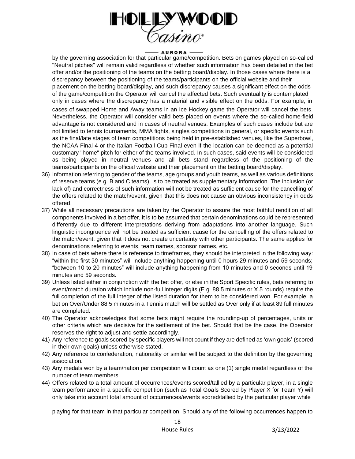

by the governing association for that particular game/competition. Bets on games played on so-called "Neutral pitches" will remain valid regardless of whether such information has been detailed in the bet offer and/or the positioning of the teams on the betting board/display. In those cases where there is a discrepancy between the positioning of the teams/participants on the official website and their placement on the betting board/display, and such discrepancy causes a significant effect on the odds of the game/competition the Operator will cancel the affected bets. Such eventuality is contemplated only in cases where the discrepancy has a material and visible effect on the odds. For example, in

cases of swapped Home and Away teams in an Ice Hockey game the Operator will cancel the bets. Nevertheless, the Operator will consider valid bets placed on events where the so-called home-field advantage is not considered and in cases of neutral venues. Examples of such cases include but are not limited to tennis tournaments, MMA fights, singles competitions in general, or specific events such as the final/late stages of team competitions being held in pre-established venues, like the Superbowl, the NCAA Final 4 or the Italian Football Cup Final even if the location can be deemed as a potential customary "home" pitch for either of the teams involved. In such cases, said events will be considered as being played in neutral venues and all bets stand regardless of the positioning of the teams/participants on the official website and their placement on the betting board/display.

- 36) Information referring to gender of the teams, age groups and youth teams, as well as various definitions of reserve teams (e.g. B and C teams), is to be treated as supplementary information. The inclusion (or lack of) and correctness of such information will not be treated as sufficient cause for the cancelling of the offers related to the match/event, given that this does not cause an obvious inconsistency in odds offered.
- 37) While all necessary precautions are taken by the Operator to assure the most faithful rendition of all components involved in a bet offer, it is to be assumed that certain denominations could be represented differently due to different interpretations deriving from adaptations into another language. Such linguistic incongruence will not be treated as sufficient cause for the cancelling of the offers related to the match/event, given that it does not create uncertainty with other participants. The same applies for denominations referring to events, team names, sponsor names, etc.
- 38) In case of bets where there is reference to timeframes, they should be interpreted in the following way: "within the first 30 minutes" will include anything happening until 0 hours 29 minutes and 59 seconds; "between 10 to 20 minutes" will include anything happening from 10 minutes and 0 seconds until 19 minutes and 59 seconds.
- 39) Unless listed either in conjunction with the bet offer, or else in the Sport Specific rules, bets referring to event/match duration which include non-full integer digits (E.g. 88.5 minutes or X.5 rounds) require the full completion of the full integer of the listed duration for them to be considered won. For example: a bet on Over/Under 88.5 minutes in a Tennis match will be settled as Over only if at least 89 full minutes are completed.
- 40) The Operator acknowledges that some bets might require the rounding-up of percentages, units or other criteria which are decisive for the settlement of the bet. Should that be the case, the Operator reserves the right to adjust and settle accordingly.
- 41) Any reference to goals scored by specific players will not count if they are defined as 'own goals' (scored in their own goals) unless otherwise stated.
- 42) Any reference to confederation, nationality or similar will be subject to the definition by the governing association.
- 43) Any medals won by a team/nation per competition will count as one (1) single medal regardless of the number of team members.
- 44) Offers related to a total amount of occurrences/events scored/tallied by a particular player, in a single team performance in a specific competition (such as Total Goals Scored by Player X for Team Y) will only take into account total amount of occurrences/events scored/tallied by the particular player while

playing for that team in that particular competition. Should any of the following occurrences happen to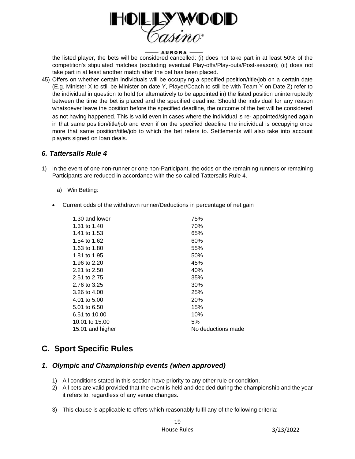

the listed player, the bets will be considered cancelled: (i) does not take part in at least 50% of the competition's stipulated matches (excluding eventual Play-offs/Play-outs/Post-season); (ii) does not take part in at least another match after the bet has been placed.

45) Offers on whether certain individuals will be occupying a specified position/title/job on a certain date (E.g. Minister X to still be Minister on date Y, Player/Coach to still be with Team Y on Date Z) refer to the individual in question to hold (or alternatively to be appointed in) the listed position uninterruptedly between the time the bet is placed and the specified deadline. Should the individual for any reason whatsoever leave the position before the specified deadline, the outcome of the bet will be considered as not having happened. This is valid even in cases where the individual is re- appointed/signed again in that same position/title/job and even if on the specified deadline the individual is occupying once more that same position/title/job to which the bet refers to. Settlements will also take into account players signed on loan deals.

## *6. Tattersalls Rule 4*

- 1) In the event of one non-runner or one non-Participant, the odds on the remaining runners or remaining Participants are reduced in accordance with the so-called Tattersalls Rule 4.
	- a) Win Betting:
	- Current odds of the withdrawn runner/Deductions in percentage of net gain

| 1.30 and lower   | 75%                |
|------------------|--------------------|
| 1.31 to 1.40     | 70%                |
| 1.41 to 1.53     | 65%                |
| 1.54 to 1.62     | 60%                |
| 1.63 to 1.80     | 55%                |
| 1.81 to 1.95     | 50%                |
| 1.96 to 2.20     | 45%                |
| 2.21 to 2.50     | 40%                |
| 2.51 to 2.75     | 35%                |
| 2.76 to 3.25     | 30%                |
| 3.26 to 4.00     | 25%                |
| 4.01 to 5.00     | 20%                |
| 5.01 to 6.50     | 15%                |
| 6.51 to 10.00    | 10%                |
| 10.01 to 15.00   | 5%                 |
| 15.01 and higher | No deductions made |
|                  |                    |

# **C. Sport Specific Rules**

## *1. Olympic and Championship events (when approved)*

- 1) All conditions stated in this section have priority to any other rule or condition.
- 2) All bets are valid provided that the event is held and decided during the championship and the year it refers to, regardless of any venue changes.
- 3) This clause is applicable to offers which reasonably fulfil any of the following criteria: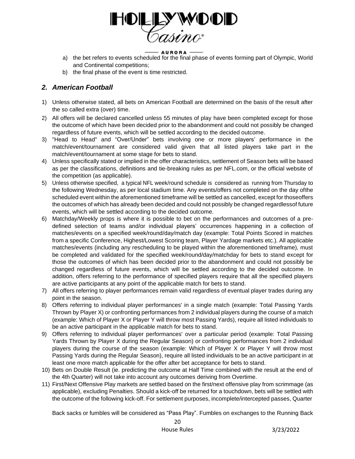

- a) the bet refers to events scheduled for the final phase of events forming part of Olympic, World and Continental competitions;
- b) the final phase of the event is time restricted.

# *2. American Football*

- 1) Unless otherwise stated, all bets on American Football are determined on the basis of the result after the so called extra (over) time.
- 2) All offers will be declared cancelled unless 55 minutes of play have been completed except for those the outcome of which have been decided prior to the abandonment and could not possibly be changed regardless of future events, which will be settled according to the decided outcome.
- 3) "Head to Head" and "Over/Under" bets involving one or more players' performance in the match/event/tournament are considered valid given that all listed players take part in the match/event/tournament at some stage for bets to stand.
- 4) Unless specifically stated or implied in the offer characteristics, settlement of Season bets will be based as per the classifications, definitions and tie-breaking rules as per NFL.com, or the official website of the competition (as applicable).
- 5) Unless otherwise specified, a typical NFL week/round schedule is considered as running from Thursday to the following Wednesday, as per local stadium time. Any events/offers not completed on the day ofthe scheduled event within the aforementioned timeframe will be settled as cancelled, except for thoseoffers the outcomes of which has already been decided and could not possibly be changed regardlessof future events, which will be settled according to the decided outcome.
- 6) Matchday/Weekly props is where it is possible to bet on the performances and outcomes of a predefined selection of teams and/or individual players' occurrences happening in a collection of matches/events on a specified week/round/day/match day (example: Total Points Scored in matches from a specific Conference, Highest/Lowest Scoring team, Player Yardage markets etc.). All applicable matches/events (including any rescheduling to be played within the aforementioned timeframe), must be completed and validated for the specified week/round/day/matchday for bets to stand except for those the outcomes of which has been decided prior to the abandonment and could not possibly be changed regardless of future events, which will be settled according to the decided outcome. In addition, offers referring to the performance of specified players require that all the specified players are active participants at any point of the applicable match for bets to stand.
- 7) All offers referring to player performances remain valid regardless of eventual player trades during any point in the season.
- 8) Offers referring to individual player performances' in a single match (example: Total Passing Yards Thrown by Player X) or confronting performances from 2 individual players during the course of a match (example: Which of Player X or Player Y will throw most Passing Yards), require all listed individuals to be an active participant in the applicable match for bets to stand.
- 9) Offers referring to individual player performances' over a particular period (example: Total Passing Yards Thrown by Player X during the Regular Season) or confronting performances from 2 individual players during the course of the season (example: Which of Player X or Player Y will throw most Passing Yards during the Regular Season), require all listed individuals to be an active participant in at least one more match applicable for the offer after bet acceptance for bets to stand.
- 10) Bets on Double Result (ie. predicting the outcome at Half Time combined with the result at the end of the 4th Quarter) will not take into account any outcomes deriving from Overtime.
- 11) First/Next Offensive Play markets are settled based on the first/next offensive play from scrimmage (as applicable), excluding Penalties. Should a kick-off be returned for a touchdown, bets will be settled with the outcome of the following kick-off. For settlement purposes, incomplete/intercepted passes, Quarter

Back sacks or fumbles will be considered as "Pass Play". Fumbles on exchanges to the Running Back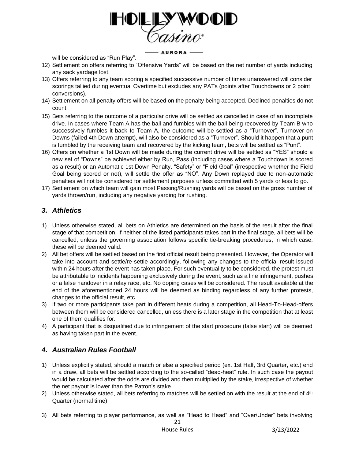

will be considered as "Run Play".

- 12) Settlement on offers referring to "Offensive Yards" will be based on the net number of yards including any sack yardage lost.
- 13) Offers referring to any team scoring a specified successive number of times unanswered will consider scorings tallied during eventual Overtime but excludes any PATs (points after Touchdowns or 2 point conversions).
- 14) Settlement on all penalty offers will be based on the penalty being accepted. Declined penalties do not count.
- 15) Bets referring to the outcome of a particular drive will be settled as cancelled in case of an incomplete drive. In cases where Team A has the ball and fumbles with the ball being recovered by Team B who successively fumbles it back to Team A, the outcome will be settled as a "Turnover". Turnover on Downs (failed 4th Down attempt), will also be considered as a "Turnover". Should it happen that a punt is fumbled by the receiving team and recovered by the kicking team, bets will be settled as "Punt".
- 16) Offers on whether a 1st Down will be made during the current drive will be settled as "YES" should a new set of "Downs" be achieved either by Run, Pass (including cases where a Touchdown is scored as a result) or an Automatic 1st Down Penalty. "Safety" or "Field Goal" (irrespective whether the Field Goal being scored or not), will settle the offer as "NO". Any Down replayed due to non-automatic penalties will not be considered for settlement purposes unless committed with 5 yards or less to go.
- 17) Settlement on which team will gain most Passing/Rushing yards will be based on the gross number of yards thrown/run, including any negative yarding for rushing.

# *3. Athletics*

- 1) Unless otherwise stated, all bets on Athletics are determined on the basis of the result after the final stage of that competition. If neither of the listed participants takes part in the final stage, all bets will be cancelled, unless the governing association follows specific tie-breaking procedures, in which case, these will be deemed valid.
- 2) All bet offers will be settled based on the first official result being presented. However, the Operator will take into account and settle/re-settle accordingly, following any changes to the official result issued within 24 hours after the event has taken place. For such eventuality to be considered, the protest must be attributable to incidents happening exclusively during the event, such as a line infringement, pushes or a false handover in a relay race, etc. No doping cases will be considered. The result available at the end of the aforementioned 24 hours will be deemed as binding regardless of any further protests, changes to the official result, etc.
- 3) If two or more participants take part in different heats during a competition, all Head-To-Head-offers between them will be considered cancelled, unless there is a later stage in the competition that at least one of them qualifies for.
- 4) A participant that is disqualified due to infringement of the start procedure (false start) will be deemed as having taken part in the event.

# *4. Australian Rules Football*

- 1) Unless explicitly stated, should a match or else a specified period (ex. 1st Half, 3rd Quarter, etc.) end in a draw, all bets will be settled according to the so-called "dead-heat" rule. In such case the payout would be calculated after the odds are divided and then multiplied by the stake, irrespective of whether the net payout is lower than the Patron's stake.
- 2) Unless otherwise stated, all bets referring to matches will be settled on with the result at the end of  $4<sup>th</sup>$ Quarter (normal time).
- 3) All bets referring to player performance, as well as "Head to Head" and "Over/Under" bets involving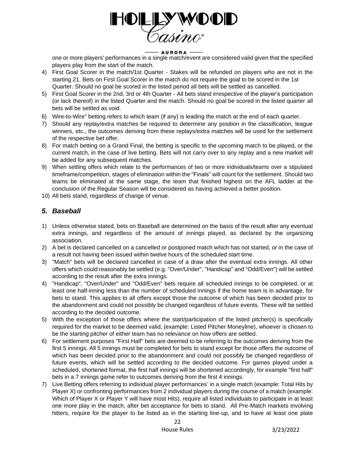

one or more players' performances in a single match/event are considered valid given that the specified players play from the start of the match.

- 4) First Goal Scorer in the match/1st Quarter Stakes will be refunded on players who are not in the starting 21. Bets on First Goal Scorer in the match do not require the goal to be scored in the 1st Quarter. Should no goal be scored in the listed period all bets will be settled as cancelled.
- 5) First Goal Scorer in the 2nd, 3rd or 4th Quarter All bets stand irrespective of the player's participation (or lack thereof) in the listed Quarter and the match. Should no goal be scored in the listed quarter all bets will be settled as void.
- 6) Wire-to-Wire" betting refers to which team (if any) is leading the match at the end of each quarter.
- 7) Should any replay/extra matches be required to determine any position in the classification, league winners, etc., the outcomes deriving from these replays/extra matches will be used for the settlement of the respective bet offer.
- 8) For match betting on a Grand Final, the betting is specific to the upcoming match to be played, or the current match, in the case of live betting. Bets will not carry over to any replay and a new market will be added for any subsequent matches.
- 9) When settling offers which relate to the performances of two or more individuals/teams over a stipulated timeframe/competition, stages of elimination within the "Finals" will count for the settlement. Should two teams be eliminated at the same stage, the team that finished highest on the AFL ladder at the conclusion of the Regular Season will be considered as having achieved a better position.
- 10) All bets stand, regardless of change of venue.

# *5. Baseball*

- 1) Unless otherwise stated, bets on Baseball are determined on the basis of the result after any eventual extra innings, and regardless of the amount of innings played, as declared by the organizing association.
- 2) A bet is declared cancelled on a cancelled or postponed match which has not started, or in the case of a result not having been issued within twelve hours of the scheduled start time.
- 3) "Match" bets will be declared cancelled in case of a draw after the eventual extra innings. All other offers which could reasonably be settled (e.g. "Over/Under", "Handicap" and "Odd/Even") will be settled according to the result after the extra innings.
- 4) "Handicap", "Over/Under" and "Odd/Even" bets require all scheduled innings to be completed, or at least one half-inning less than the number of scheduled innings if the home team is in advantage, for bets to stand. This applies to all offers except those the outcome of which has been decided prior to the abandonment and could not possibly be changed regardless of future events. These will be settled according to the decided outcome.
- 5) With the exception of those offers where the start/participation of the listed pitcher(s) is specifically required for the market to be deemed valid, (example: Listed Pitcher Moneyline), whoever is chosen to be the starting pitcher of either team has no relevance on how offers are settled.
- 6) For settlement purposes "First Half" bets are deemed to be referring to the outcomes deriving from the first 5 innings. All 5 innings must be completed for bets to stand except for those offers the outcome of which has been decided prior to the abandonment and could not possibly be changed regardless of future events, which will be settled according to the decided outcome. For games played under a scheduled, shortened format, the first half innings will be shortened accordingly, for example "first half" bets in a 7 innings game refer to outcomes deriving from the first 4 innings.
- 7) Live Betting offers referring to individual player performances' in a single match (example: Total Hits by Player X) or confronting performances from 2 individual players during the course of a match (example: Which of Player X or Player Y will have most Hits), require all listed individuals to participate in at least one more play in the match, after bet acceptance for bets to stand. All Pre-Match markets involving hitters, require for the player to be listed as in the starting line-up, and to have at least one plate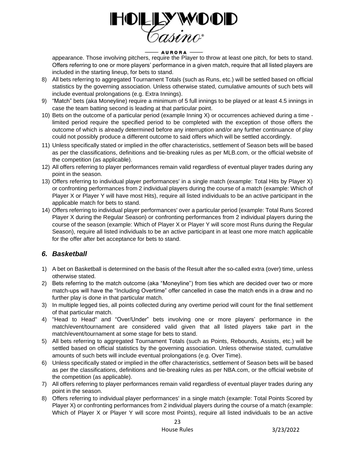

appearance. Those involving pitchers, require the Player to throw at least one pitch, for bets to stand. Offers referring to one or more players' performance in a given match, require that all listed players are included in the starting lineup, for bets to stand.

- 8) All bets referring to aggregated Tournament Totals (such as Runs, etc.) will be settled based on official statistics by the governing association. Unless otherwise stated, cumulative amounts of such bets will include eventual prolongations (e.g. Extra Innings).
- 9) "Match" bets (aka Moneyline) require a minimum of 5 full innings to be played or at least 4.5 innings in case the team batting second is leading at that particular point.
- 10) Bets on the outcome of a particular period (example Inning X) or occurrences achieved during a time limited period require the specified period to be completed with the exception of those offers the outcome of which is already determined before any interruption and/or any further continuance of play could not possibly produce a different outcome to said offers which will be settled accordingly.
- 11) Unless specifically stated or implied in the offer characteristics, settlement of Season bets will be based as per the classifications, definitions and tie-breaking rules as per MLB.com, or the official website of the competition (as applicable).
- 12) All offers referring to player performances remain valid regardless of eventual player trades during any point in the season.
- 13) Offers referring to individual player performances' in a single match (example: Total Hits by Player X) or confronting performances from 2 individual players during the course of a match (example: Which of Player X or Player Y will have most Hits), require all listed individuals to be an active participant in the applicable match for bets to stand.
- 14) Offers referring to individual player performances' over a particular period (example: Total Runs Scored Player X during the Regular Season) or confronting performances from 2 individual players during the course of the season (example: Which of Player X or Player Y will score most Runs during the Regular Season), require all listed individuals to be an active participant in at least one more match applicable for the offer after bet acceptance for bets to stand.

# *6. Basketball*

- 1) A bet on Basketball is determined on the basis of the Result after the so-called extra (over) time, unless otherwise stated.
- 2) Bets referring to the match outcome (aka "Moneyline") from ties which are decided over two or more match-ups will have the "Including Overtime" offer cancelled in case the match ends in a draw and no further play is done in that particular match.
- 3) In multiple legged ties, all points collected during any overtime period will count for the final settlement of that particular match.
- 4) "Head to Head" and "Over/Under" bets involving one or more players' performance in the match/event/tournament are considered valid given that all listed players take part in the match/event/tournament at some stage for bets to stand.
- 5) All bets referring to aggregated Tournament Totals (such as Points, Rebounds, Assists, etc.) will be settled based on official statistics by the governing association. Unless otherwise stated, cumulative amounts of such bets will include eventual prolongations (e.g. Over Time).
- 6) Unless specifically stated or implied in the offer characteristics, settlement of Season bets will be based as per the classifications, definitions and tie-breaking rules as per NBA.com, or the official website of the competition (as applicable).
- 7) All offers referring to player performances remain valid regardless of eventual player trades during any point in the season.
- 8) Offers referring to individual player performances' in a single match (example: Total Points Scored by Player X) or confronting performances from 2 individual players during the course of a match (example: Which of Player X or Player Y will score most Points), require all listed individuals to be an active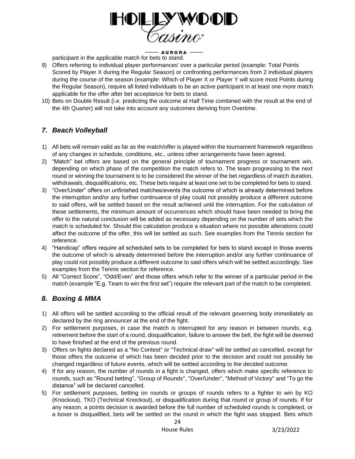

## - AURORA -

participant in the applicable match for bets to stand.

- 9) Offers referring to individual player performances' over a particular period (example: Total Points Scored by Player X during the Regular Season) or confronting performances from 2 individual players during the course of the season (example: Which of Player X or Player Y will score most Points during the Regular Season), require all listed individuals to be an active participant in at least one more match applicable for the offer after bet acceptance for bets to stand.
- 10) Bets on Double Result (i.e. predicting the outcome at Half Time combined with the result at the end of the 4th Quarter) will not take into account any outcomes deriving from Overtime.

# *7. Beach Volleyball*

- 1) All bets will remain valid as far as the match/offer is played within the tournament framework regardless of any changes in schedule, conditions, etc., unless other arrangements have been agreed.
- 2) "Match" bet offers are based on the general principle of tournament progress or tournament win, depending on which phase of the competition the match refers to. The team progressing to the next round or winning the tournament is to be considered the winner of the bet regardless of match duration, withdrawals, disqualifications, etc. These bets require at least one set to be completed for bets to stand.
- 3) "Over/Under" offers on unfinished matches/events the outcome of which is already determined before the interruption and/or any further continuance of play could not possibly produce a different outcome to said offers, will be settled based on the result achieved until the interruption. For the calculation of these settlements, the minimum amount of occurrences which should have been needed to bring the offer to the natural conclusion will be added as necessary depending on the number of sets which the match is scheduled for. Should this calculation produce a situation where no possible alterations could affect the outcome of the offer, this will be settled as such. See examples from the Tennis section for reference.
- 4) "Handicap" offers require all scheduled sets to be completed for bets to stand except in those events the outcome of which is already determined before the interruption and/or any further continuance of play could not possibly produce a different outcome to said offers which will be settled accordingly. See examples from the Tennis section for reference.
- 5) All "Correct Score", "Odd/Even" and those offers which refer to the winner of a particular period in the match (example "E.g. Team to win the first set") require the relevant part of the match to be completed.

# *8. Boxing & MMA*

- 1) All offers will be settled according to the official result of the relevant governing body immediately as declared by the ring announcer at the end of the fight.
- 2) For settlement purposes, in case the match is interrupted for any reason in between rounds, e.g. retirement before the start of a round, disqualification, failure to answer the bell, the fight will be deemed to have finished at the end of the previous round.
- 3) Offers on fights declared as a "No Contest" or "Technical draw" will be settled as cancelled, except for those offers the outcome of which has been decided prior to the decision and could not possibly be changed regardless of future events, which will be settled according to the decided outcome.
- 4) If for any reason, the number of rounds in a fight is changed, offers which make specific reference to rounds, such as "Round betting", "Group of Rounds", "Over/Under", "Method of Victory" and "To go the distance" will be declared cancelled.
- 5) For settlement purposes, betting on rounds or groups of rounds refers to a fighter to win by KO (Knockout), TKO (Technical Knockout), or disqualification during that round or group of rounds. If for any reason, a points decision is awarded before the full number of scheduled rounds is completed, or a boxer is disqualified, bets will be settled on the round in which the fight was stopped. Bets which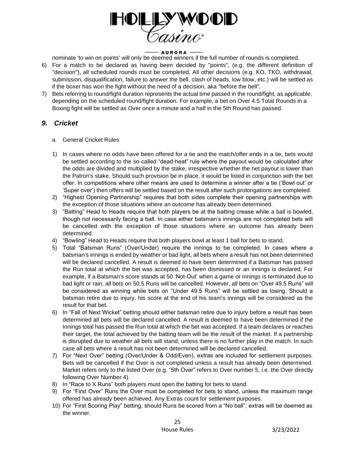

nominate 'to win on points' will only be deemed winners if the full number of rounds is completed.

- 6) For a match to be declared as having been decided by "points", (e.g. the different definition of "decision"), all scheduled rounds must be completed. All other decisions (e.g. KO, TKO, withdrawal, submission, disqualification, failure to answer the bell, clash of heads, low blow, etc.) will be settled as if the boxer has won the fight without the need of a decision, aka "before the bell".
- 7) Bets referring to round/fight duration represents the actual time passed in the round/fight, as applicable, depending on the scheduled round/fight duration. For example, a bet on Over 4.5 Total Rounds in a Boxing fight will be settled as Over once a minute and a half in the 5th Round has passed.

## *9. Cricket*

- a. General Cricket Rules
- 1) In cases where no odds have been offered for a tie and the match/offer ends in a tie, bets would be settled according to the so-called "dead-heat" rule where the payout would be calculated after the odds are divided and multiplied by the stake, irrespective whether the net payout is lower than the Patron's stake. Should such provision be in place, it would be listed in conjunction with the bet offer. In competitions where other means are used to determine a winner after a tie ('Bowl out' or 'Super over') then offers will be settled based on the result after such prolongations are completed.
- 2) "Highest Opening Partnership" requires that both sides complete their opening partnerships with the exception of those situations where an outcome has already been determined.
- 3) "Batting" Head to Heads require that both players be at the batting crease while a ball is bowled, though not necessarily facing a ball. In case either batsman's innings are not completed bets will be cancelled with the exception of those situations where an outcome has already been determined.
- 4) "Bowling" Head to Heads require that both players bowl at least 1 ball for bets to stand.
- 5) Total "Batsman Runs" (Over/Under) require the innings to be completed. In cases where a batsman's innings is ended by weather or bad light, all bets where a result has not been determined will be declared cancelled. A result is deemed to have been determined if a Batsman has passed the Run total at which the bet was accepted, has been dismissed or an innings is declared. For example, if a Batsman's score stands at 50 'Not-Out' when a game or innings is terminated due to bad light or rain, all bets on 50.5 Runs will be cancelled. However, all bets on "Over 49.5 Runs" will be considered as winning while bets on "Under 49.5 Runs" will be settled as losing. Should a batsman retire due to injury, his score at the end of his team's innings will be considered as the result for that bet.
- 6) In "Fall of Next Wicket" betting should either batsman retire due to injury before a result has been determined all bets will be declared cancelled. A result is deemed to have been determined if the Innings total has passed the Run total at which the bet was accepted. If a team declares or reaches their target, the total achieved by the batting team will be the result of the market. If a partnership is disrupted due to weather all bets will stand, unless there is no further play in the match. In such case all bets where a result has not been determined will be declared cancelled.
- 7) For "Next Over" betting (Over/Under & Odd/Even), extras are included for settlement purposes. Bets will be cancelled if the Over is not completed unless a result has already been determined. Market refers only to the listed Over (e.g. "5th Over" refers to Over number 5, i.e. the Over directly following Over Number 4).
- 8) In "Race to X Runs" both players must open the batting for bets to stand.
- 9) For "First Over" Runs the Over must be completed for bets to stand, unless the maximum range offered has already been achieved. Any Extras count for settlement purposes.
- 10) For "First Scoring Play" betting, should Runs be scored from a "No ball", extras will be deemed as the winner.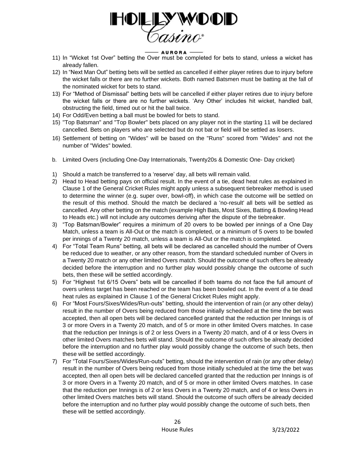

- 11) In "Wicket 1st Over" betting the Over must be completed for bets to stand, unless a wicket has already fallen.
- 12) In "Next Man Out" betting bets will be settled as cancelled if either player retires due to injury before the wicket falls or there are no further wickets. Both named Batsmen must be batting at the fall of the nominated wicket for bets to stand.
- 13) For "Method of Dismissal" betting bets will be cancelled if either player retires due to injury before the wicket falls or there are no further wickets. 'Any Other' includes hit wicket, handled ball, obstructing the field, timed out or hit the ball twice.
- 14) For Odd/Even betting a ball must be bowled for bets to stand.
- 15) "Top Batsman" and "Top Bowler" bets placed on any player not in the starting 11 will be declared cancelled. Bets on players who are selected but do not bat or field will be settled as losers.
- 16) Settlement of betting on "Wides" will be based on the "Runs" scored from "Wides" and not the number of "Wides" bowled.
- b. Limited Overs (including One-Day Internationals, Twenty20s & Domestic One- Day cricket)
- 1) Should a match be transferred to a 'reserve' day, all bets will remain valid.
- 2) Head to Head betting pays on official result. In the event of a tie, dead heat rules as explained in Clause 1 of the General Cricket Rules might apply unless a subsequent tiebreaker method is used to determine the winner (e.g. super over, bowl-off), in which case the outcome will be settled on the result of this method. Should the match be declared a 'no-result' all bets will be settled as cancelled. Any other betting on the match (example High Bats, Most Sixes, Batting & Bowling Head to Heads etc.) will not include any outcomes deriving after the dispute of the tiebreaker.
- 3) "Top Batsman/Bowler" requires a minimum of 20 overs to be bowled per innings of a One Day Match, unless a team is All-Out or the match is completed, or a minimum of 5 overs to be bowled per innings of a Twenty 20 match, unless a team is All-Out or the match is completed.
- 4) For "Total Team Runs" betting, all bets will be declared as cancelled should the number of Overs be reduced due to weather, or any other reason, from the standard scheduled number of Overs in a Twenty 20 match or any other limited Overs match. Should the outcome of such offers be already decided before the interruption and no further play would possibly change the outcome of such bets, then these will be settled accordingly.
- 5) For "Highest 1st 6/15 Overs" bets will be cancelled if both teams do not face the full amount of overs unless target has been reached or the team has been bowled out. In the event of a tie dead heat rules as explained in Clause 1 of the General Cricket Rules might apply.
- 6) For "Most Fours/Sixes/Wides/Run-outs" betting, should the intervention of rain (or any other delay) result in the number of Overs being reduced from those initially scheduled at the time the bet was accepted, then all open bets will be declared cancelled granted that the reduction per Innings is of 3 or more Overs in a Twenty 20 match, and of 5 or more in other limited Overs matches. In case that the reduction per Innings is of 2 or less Overs in a Twenty 20 match, and of 4 or less Overs in other limited Overs matches bets will stand. Should the outcome of such offers be already decided before the interruption and no further play would possibly change the outcome of such bets, then these will be settled accordingly.
- 7) For "Total Fours/Sixes/Wides/Run-outs" betting, should the intervention of rain (or any other delay) result in the number of Overs being reduced from those initially scheduled at the time the bet was accepted, then all open bets will be declared cancelled granted that the reduction per Innings is of 3 or more Overs in a Twenty 20 match, and of 5 or more in other limited Overs matches. In case that the reduction per Innings is of 2 or less Overs in a Twenty 20 match, and of 4 or less Overs in other limited Overs matches bets will stand. Should the outcome of such offers be already decided before the interruption and no further play would possibly change the outcome of such bets, then these will be settled accordingly.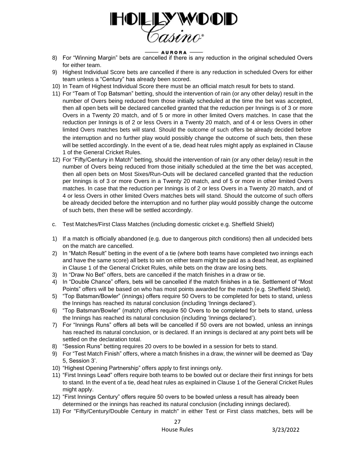

- 8) For "Winning Margin" bets are cancelled if there is any reduction in the original scheduled Overs for either team.
- 9) Highest Individual Score bets are cancelled if there is any reduction in scheduled Overs for either team unless a "Century" has already been scored.
- 10) In Team of Highest Individual Score there must be an official match result for bets to stand.
- 11) For "Team of Top Batsman" betting, should the intervention of rain (or any other delay) result in the number of Overs being reduced from those initially scheduled at the time the bet was accepted, then all open bets will be declared cancelled granted that the reduction per Innings is of 3 or more Overs in a Twenty 20 match, and of 5 or more in other limited Overs matches. In case that the reduction per Innings is of 2 or less Overs in a Twenty 20 match, and of 4 or less Overs in other limited Overs matches bets will stand. Should the outcome of such offers be already decided before the interruption and no further play would possibly change the outcome of such bets, then these will be settled accordingly. In the event of a tie, dead heat rules might apply as explained in Clause 1 of the General Cricket Rules.
- 12) For "Fifty/Century in Match" betting, should the intervention of rain (or any other delay) result in the number of Overs being reduced from those initially scheduled at the time the bet was accepted, then all open bets on Most Sixes/Run-Outs will be declared cancelled granted that the reduction per Innings is of 3 or more Overs in a Twenty 20 match, and of 5 or more in other limited Overs matches. In case that the reduction per Innings is of 2 or less Overs in a Twenty 20 match, and of 4 or less Overs in other limited Overs matches bets will stand. Should the outcome of such offers be already decided before the interruption and no further play would possibly change the outcome of such bets, then these will be settled accordingly.
- c. Test Matches/First Class Matches (including domestic cricket e.g. Sheffield Shield)
- 1) If a match is officially abandoned (e.g. due to dangerous pitch conditions) then all undecided bets on the match are cancelled.
- 2) In "Match Result" betting in the event of a tie (where both teams have completed two innings each and have the same score) all bets to win on either team might be paid as a dead heat, as explained in Clause 1 of the General Cricket Rules, while bets on the draw are losing bets.
- 3) In "Draw No Bet" offers, bets are cancelled if the match finishes in a draw or tie.
- 4) In "Double Chance" offers, bets will be cancelled if the match finishes in a tie. Settlement of "Most Points" offers will be based on who has most points awarded for the match (e.g. Sheffield Shield).
- 5) "Top Batsman/Bowler" (innings) offers require 50 Overs to be completed for bets to stand, unless the Innings has reached its natural conclusion (including 'Innings declared').
- 6) "Top Batsman/Bowler" (match) offers require 50 Overs to be completed for bets to stand, unless the Innings has reached its natural conclusion (including 'Innings declared').
- 7) For "Innings Runs" offers all bets will be cancelled if 50 overs are not bowled, unless an innings has reached its natural conclusion, or is declared. If an innings is declared at any point bets will be settled on the declaration total.
- 8) "Session Runs" betting requires 20 overs to be bowled in a session for bets to stand.
- 9) For "Test Match Finish" offers, where a match finishes in a draw, the winner will be deemed as 'Day 5, Session 3'.
- 10) "Highest Opening Partnership" offers apply to first innings only.
- 11) "First Innings Lead" offers require both teams to be bowled out or declare their first innings for bets to stand. In the event of a tie, dead heat rules as explained in Clause 1 of the General Cricket Rules might apply.
- 12) "First Innings Century" offers require 50 overs to be bowled unless a result has already been determined or the innings has reached its natural conclusion (including innings declared).
- 13) For "Fifty/Century/Double Century in match" in either Test or First class matches, bets will be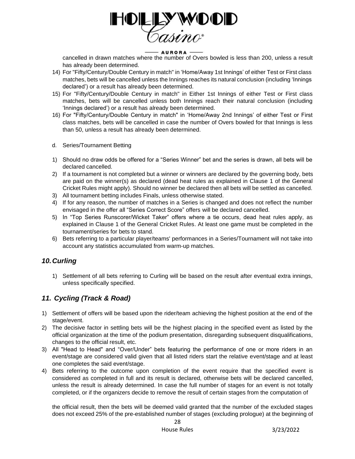

cancelled in drawn matches where the number of Overs bowled is less than 200, unless a result has already been determined.

- 14) For "Fifty/Century/Double Century in match" in 'Home/Away 1st Innings' of either Test or First class matches, bets will be cancelled unless the Innings reaches its natural conclusion (including 'Innings declared') or a result has already been determined.
- 15) For "Fifty/Century/Double Century in match" in Either 1st Innings of either Test or First class matches, bets will be cancelled unless both Innings reach their natural conclusion (including 'Innings declared') or a result has already been determined.
- 16) For "Fifty/Century/Double Century in match" in 'Home/Away 2nd Innings' of either Test or First class matches, bets will be cancelled in case the number of Overs bowled for that Innings is less than 50, unless a result has already been determined.
- d. Series/Tournament Betting
- 1) Should no draw odds be offered for a "Series Winner" bet and the series is drawn, all bets will be declared cancelled.
- 2) If a tournament is not completed but a winner or winners are declared by the governing body, bets are paid on the winner(s) as declared (dead heat rules as explained in Clause 1 of the General Cricket Rules might apply). Should no winner be declared then all bets will be settled as cancelled.
- 3) All tournament betting includes Finals, unless otherwise stated.
- 4) If for any reason, the number of matches in a Series is changed and does not reflect the number envisaged in the offer all "Series Correct Score" offers will be declared cancelled.
- 5) In "Top Series Runscorer/Wicket Taker" offers where a tie occurs, dead heat rules apply, as explained in Clause 1 of the General Cricket Rules. At least one game must be completed in the tournament/series for bets to stand.
- 6) Bets referring to a particular player/teams' performances in a Series/Tournament will not take into account any statistics accumulated from warm-up matches.

# *10.Curling*

1) Settlement of all bets referring to Curling will be based on the result after eventual extra innings, unless specifically specified.

# *11. Cycling (Track & Road)*

- 1) Settlement of offers will be based upon the rider/team achieving the highest position at the end of the stage/event.
- 2) The decisive factor in settling bets will be the highest placing in the specified event as listed by the official organization at the time of the podium presentation, disregarding subsequent disqualifications, changes to the official result, etc.
- 3) All "Head to Head" and "Over/Under" bets featuring the performance of one or more riders in an event/stage are considered valid given that all listed riders start the relative event/stage and at least one completes the said event/stage.
- 4) Bets referring to the outcome upon completion of the event require that the specified event is considered as completed in full and its result is declared, otherwise bets will be declared cancelled, unless the result is already determined. In case the full number of stages for an event is not totally completed, or if the organizers decide to remove the result of certain stages from the computation of

the official result, then the bets will be deemed valid granted that the number of the excluded stages does not exceed 25% of the pre-established number of stages (excluding prologue) at the beginning of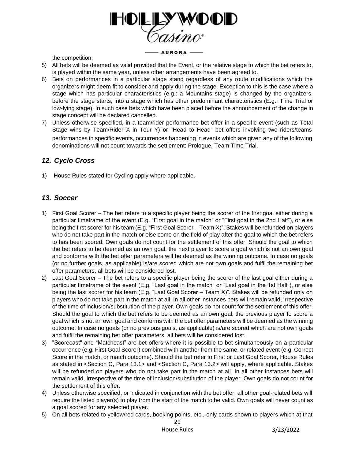

- AURORA -

the competition.

- 5) All bets will be deemed as valid provided that the Event, or the relative stage to which the bet refers to, is played within the same year, unless other arrangements have been agreed to.
- 6) Bets on performances in a particular stage stand regardless of any route modifications which the organizers might deem fit to consider and apply during the stage. Exception to this is the case where a stage which has particular characteristics (e.g.: a Mountains stage) is changed by the organizers, before the stage starts, into a stage which has other predominant characteristics (E.g.: Time Trial or low-lying stage). In such case bets which have been placed before the announcement of the change in stage concept will be declared cancelled.
- 7) Unless otherwise specified, in a team/rider performance bet offer in a specific event (such as Total Stage wins by Team/Rider X in Tour Y) or "Head to Head" bet offers involving two riders/teams performances in specific events, occurrences happening in events which are given any of the following denominations will not count towards the settlement: Prologue, Team Time Trial.

# *12. Cyclo Cross*

1) House Rules stated for Cycling apply where applicable.

# *13. Soccer*

- 1) First Goal Scorer The bet refers to a specific player being the scorer of the first goal either during a particular timeframe of the event (E.g. "First goal in the match" or "First goal in the 2nd Half"), or else being the first scorer for his team (E.g. "First Goal Scorer – Team X)". Stakes will be refunded on players who do not take part in the match or else come on the field of play after the goal to which the bet refers to has been scored. Own goals do not count for the settlement of this offer. Should the goal to which the bet refers to be deemed as an own goal, the next player to score a goal which is not an own goal and conforms with the bet offer parameters will be deemed as the winning outcome. In case no goals (or no further goals, as applicable) is/are scored which are not own goals and fulfil the remaining bet offer parameters, all bets will be considered lost.
- 2) Last Goal Scorer The bet refers to a specific player being the scorer of the last goal either during a particular timeframe of the event (E.g. "Last goal in the match" or "Last goal in the 1st Half"), or else being the last scorer for his team (E.g. "Last Goal Scorer – Team X)". Stakes will be refunded only on players who do not take part in the match at all. In all other instances bets will remain valid, irrespective of the time of inclusion/substitution of the player. Own goals do not count for the settlement of this offer. Should the goal to which the bet refers to be deemed as an own goal, the previous player to score a goal which is not an own goal and conforms with the bet offer parameters will be deemed as the winning outcome. In case no goals (or no previous goals, as applicable) is/are scored which are not own goals and fulfil the remaining bet offer parameters, all bets will be considered lost.
- 3) "Scorecast" and "Matchcast" are bet offers where it is possible to bet simultaneously on a particular occurrence (e.g. First Goal Scorer) combined with another from the same, or related event (e.g. Correct Score in the match, or match outcome). Should the bet refer to First or Last Goal Scorer, House Rules as stated in <Section C, Para 13.1> and <Section C, Para 13.2> will apply, where applicable. Stakes will be refunded on players who do not take part in the match at all. In all other instances bets will remain valid, irrespective of the time of inclusion/substitution of the player. Own goals do not count for the settlement of this offer.
- 4) Unless otherwise specified, or indicated in conjunction with the bet offer, all other goal-related bets will require the listed player(s) to play from the start of the match to be valid. Own goals will never count as a goal scored for any selected player.
- 5) On all bets related to yellow/red cards, booking points, etc., only cards shown to players which at that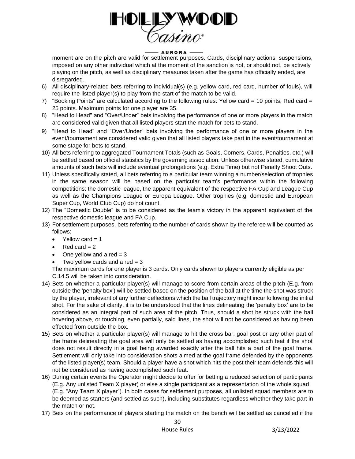

moment are on the pitch are valid for settlement purposes. Cards, disciplinary actions, suspensions, imposed on any other individual which at the moment of the sanction is not, or should not, be actively playing on the pitch, as well as disciplinary measures taken after the game has officially ended, are disregarded.

- 6) All disciplinary-related bets referring to individual(s) (e.g. yellow card, red card, number of fouls), will require the listed player(s) to play from the start of the match to be valid.
- 7) "Booking Points" are calculated according to the following rules: Yellow card = 10 points, Red card = 25 points. Maximum points for one player are 35.
- 8) "Head to Head" and "Over/Under" bets involving the performance of one or more players in the match are considered valid given that all listed players start the match for bets to stand.
- 9) "Head to Head" and "Over/Under" bets involving the performance of one or more players in the event/tournament are considered valid given that all listed players take part in the event/tournament at some stage for bets to stand.
- 10) All bets referring to aggregated Tournament Totals (such as Goals, Corners, Cards, Penalties, etc.) will be settled based on official statistics by the governing association. Unless otherwise stated, cumulative amounts of such bets will include eventual prolongations (e.g. Extra Time) but not Penalty Shoot Outs.
- 11) Unless specifically stated, all bets referring to a particular team winning a number/selection of trophies in the same season will be based on the particular team's performance within the following competitions: the domestic league, the apparent equivalent of the respective FA Cup and League Cup as well as the Champions League or Europa League. Other trophies (e.g. domestic and European Super Cup, World Club Cup) do not count.
- 12) The "Domestic Double" is to be considered as the team's victory in the apparent equivalent of the respective domestic league and FA Cup.
- 13) For settlement purposes, bets referring to the number of cards shown by the referee will be counted as follows:
	- Yellow card  $= 1$
	- Red card  $= 2$
	- One yellow and a red  $= 3$
	- Two yellow cards and a red  $= 3$

The maximum cards for one player is 3 cards. Only cards shown to players currently eligible as per C.14.5 will be taken into consideration.

- 14) Bets on whether a particular player(s) will manage to score from certain areas of the pitch (E.g. from outside the 'penalty box') will be settled based on the position of the ball at the time the shot was struck by the player, irrelevant of any further deflections which the ball trajectory might incur following the initial shot. For the sake of clarity, it is to be understood that the lines delineating the 'penalty box' are to be considered as an integral part of such area of the pitch. Thus, should a shot be struck with the ball hovering above, or touching, even partially, said lines, the shot will not be considered as having been effected from outside the box.
- 15) Bets on whether a particular player(s) will manage to hit the cross bar, goal post or any other part of the frame delineating the goal area will only be settled as having accomplished such feat if the shot does not result directly in a goal being awarded exactly after the ball hits a part of the goal frame. Settlement will only take into consideration shots aimed at the goal frame defended by the opponents of the listed player(s) team. Should a player have a shot which hits the post their team defends this will not be considered as having accomplished such feat.
- 16) During certain events the Operator might decide to offer for betting a reduced selection of participants (E.g. Any unlisted Team X player) or else a single participant as a representation of the whole squad (E.g. "Any Team X player"). In both cases for settlement purposes, all unlisted squad members are to be deemed as starters (and settled as such), including substitutes regardless whether they take part in the match or not.
- 17) Bets on the performance of players starting the match on the bench will be settled as cancelled if the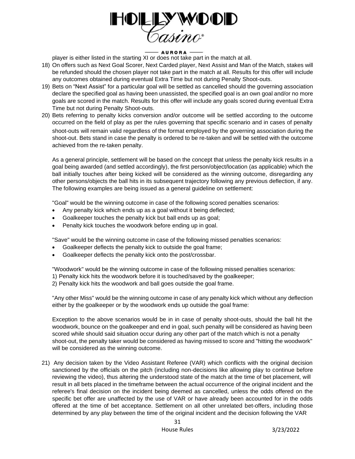

player is either listed in the starting XI or does not take part in the match at all.

- 18) On offers such as Next Goal Scorer, Next Carded player, Next Assist and Man of the Match, stakes will be refunded should the chosen player not take part in the match at all. Results for this offer will include any outcomes obtained during eventual Extra Time but not during Penalty Shoot-outs.
- 19) Bets on "Next Assist" for a particular goal will be settled as cancelled should the governing association declare the specified goal as having been unassisted, the specified goal is an own goal and/or no more goals are scored in the match. Results for this offer will include any goals scored during eventual Extra Time but not during Penalty Shoot-outs.
- 20) Bets referring to penalty kicks conversion and/or outcome will be settled according to the outcome occurred on the field of play as per the rules governing that specific scenario and in cases of penalty shoot-outs will remain valid regardless of the format employed by the governing association during the shoot-out. Bets stand in case the penalty is ordered to be re-taken and will be settled with the outcome achieved from the re-taken penalty.

As a general principle, settlement will be based on the concept that unless the penalty kick results in a goal being awarded (and settled accordingly), the first person/object/location (as applicable) which the ball initially touches after being kicked will be considered as the winning outcome, disregarding any other persons/objects the ball hits in its subsequent trajectory following any previous deflection, if any. The following examples are being issued as a general guideline on settlement:

"Goal" would be the winning outcome in case of the following scored penalties scenarios:

- Any penalty kick which ends up as a goal without it being deflected;
- Goalkeeper touches the penalty kick but ball ends up as goal;
- Penalty kick touches the woodwork before ending up in goal.

"Save" would be the winning outcome in case of the following missed penalties scenarios:

- Goalkeeper deflects the penalty kick to outside the goal frame;
- Goalkeeper deflects the penalty kick onto the post/crossbar.

"Woodwork" would be the winning outcome in case of the following missed penalties scenarios:

1) Penalty kick hits the woodwork before it is touched/saved by the goalkeeper;

2) Penalty kick hits the woodwork and ball goes outside the goal frame.

"Any other Miss" would be the winning outcome in case of any penalty kick which without any deflection either by the goalkeeper or by the woodwork ends up outside the goal frame:

Exception to the above scenarios would be in in case of penalty shoot-outs, should the ball hit the woodwork, bounce on the goalkeeper and end in goal, such penalty will be considered as having been scored while should said situation occur during any other part of the match which is not a penalty shoot-out, the penalty taker would be considered as having missed to score and "hitting the woodwork" will be considered as the winning outcome.

21) Any decision taken by the Video Assistant Referee (VAR) which conflicts with the original decision sanctioned by the officials on the pitch (including non-decisions like allowing play to continue before reviewing the video), thus altering the understood state of the match at the time of bet placement, will result in all bets placed in the timeframe between the actual occurrence of the original incident and the referee's final decision on the incident being deemed as cancelled, unless the odds offered on the specific bet offer are unaffected by the use of VAR or have already been accounted for in the odds offered at the time of bet acceptance. Settlement on all other unrelated bet-offers, including those determined by any play between the time of the original incident and the decision following the VAR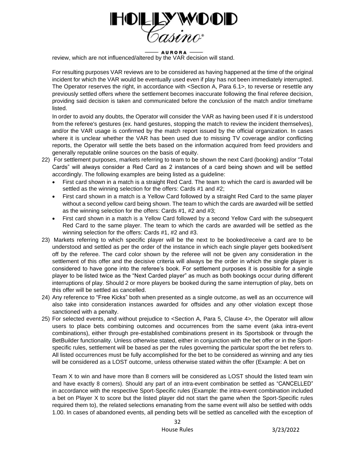

review, which are not influenced/altered by the VAR decision will stand.

For resulting purposes VAR reviews are to be considered as having happened at the time of the original incident for which the VAR would be eventually used even if play has not been immediately interrupted. The Operator reserves the right, in accordance with <Section A, Para 6.1>, to reverse or resettle any previously settled offers where the settlement becomes inaccurate following the final referee decision, providing said decision is taken and communicated before the conclusion of the match and/or timeframe listed.

In order to avoid any doubts, the Operator will consider the VAR as having been used if it is understood from the referee's gestures (ex. hand gestures, stopping the match to review the incident themselves), and/or the VAR usage is confirmed by the match report issued by the official organization. In cases where it is unclear whether the VAR has been used due to missing TV coverage and/or conflicting reports, the Operator will settle the bets based on the information acquired from feed providers and generally reputable online sources on the basis of equity.

- 22) For settlement purposes, markets referring to team to be shown the next Card (booking) and/or "Total Cards" will always consider a Red Card as 2 instances of a card being shown and will be settled accordingly. The following examples are being listed as a guideline:
	- First card shown in a match is a straight Red Card. The team to which the card is awarded will be settled as the winning selection for the offers: Cards #1 and #2;
	- First card shown in a match is a Yellow Card followed by a straight Red Card to the same player without a second yellow card being shown. The team to which the cards are awarded will be settled as the winning selection for the offers: Cards #1, #2 and #3;
	- First card shown in a match is a Yellow Card followed by a second Yellow Card with the subsequent Red Card to the same player. The team to which the cards are awarded will be settled as the winning selection for the offers: Cards #1, #2 and #3.
- 23) Markets referring to which specific player will be the next to be booked/receive a card are to be understood and settled as per the order of the instance in which each single player gets booked/sent off by the referee. The card color shown by the referee will not be given any consideration in the settlement of this offer and the decisive criteria will always be the order in which the single player is considered to have gone into the referee's book. For settlement purposes it is possible for a single player to be listed twice as the "Next Carded player" as much as both bookings occur during different interruptions of play. Should 2 or more players be booked during the same interruption of play, bets on this offer will be settled as cancelled.
- 24) Any reference to "Free Kicks" both when presented as a single outcome, as well as an occurrence will also take into consideration instances awarded for offsides and any other violation except those sanctioned with a penalty.
- 25) For selected events, and without prejudice to <Section A, Para 5, Clause 4>, the Operator will allow users to place bets combining outcomes and occurrences from the same event (aka intra-event combinations), either through pre-established combinations present in its Sportsbook or through the BetBuilder functionality. Unless otherwise stated, either in conjunction with the bet offer or in the Sportspecific rules, settlement will be based as per the rules governing the particular sport the bet refers to. All listed occurrences must be fully accomplished for the bet to be considered as winning and any ties will be considered as a LOST outcome, unless otherwise stated within the offer (Example: A bet on

Team X to win and have more than 8 corners will be considered as LOST should the listed team win and have exactly 8 corners). Should any part of an intra-event combination be settled as "CANCELLED" in accordance with the respective Sport-Specific rules (Example: the intra-event combination included a bet on Player X to score but the listed player did not start the game when the Sport-Specific rules required them to), the related selections emanating from the same event will also be settled with odds 1.00. In cases of abandoned events, all pending bets will be settled as cancelled with the exception of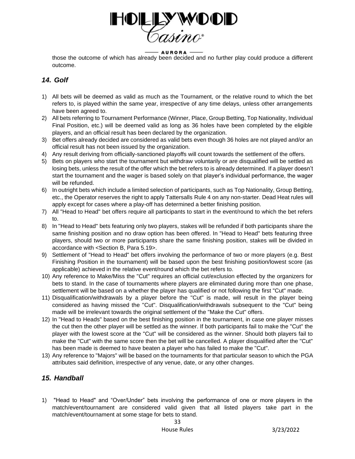

those the outcome of which has already been decided and no further play could produce a different outcome.

# *14. Golf*

- 1) All bets will be deemed as valid as much as the Tournament, or the relative round to which the bet refers to, is played within the same year, irrespective of any time delays, unless other arrangements have been agreed to.
- 2) All bets referring to Tournament Performance (Winner, Place, Group Betting, Top Nationality, Individual Final Position, etc.) will be deemed valid as long as 36 holes have been completed by the eligible players, and an official result has been declared by the organization.
- 3) Bet offers already decided are considered as valid bets even though 36 holes are not played and/or an official result has not been issued by the organization.
- 4) Any result deriving from officially-sanctioned playoffs will count towards the settlement of the offers.
- 5) Bets on players who start the tournament but withdraw voluntarily or are disqualified will be settled as losing bets, unless the result of the offer which the bet refers to is already determined. If a player doesn't start the tournament and the wager is based solely on that player's individual performance, the wager will be refunded.
- 6) In outright bets which include a limited selection of participants, such as Top Nationality, Group Betting, etc., the Operator reserves the right to apply Tattersalls Rule 4 on any non-starter. Dead Heat rules will apply except for cases where a play-off has determined a better finishing position.
- 7) All "Head to Head" bet offers require all participants to start in the event/round to which the bet refers to.
- 8) In "Head to Head" bets featuring only two players, stakes will be refunded if both participants share the same finishing position and no draw option has been offered. In "Head to Head" bets featuring three players, should two or more participants share the same finishing position, stakes will be divided in accordance with <Section B, Para 5.19>.
- 9) Settlement of "Head to Head" bet offers involving the performance of two or more players (e.g. Best Finishing Position in the tournament) will be based upon the best finishing position/lowest score (as applicable) achieved in the relative event/round which the bet refers to.
- 10) Any reference to Make/Miss the "Cut" requires an official cut/exclusion effected by the organizers for bets to stand. In the case of tournaments where players are eliminated during more than one phase, settlement will be based on a whether the player has qualified or not following the first "Cut" made.
- 11) Disqualification/withdrawals by a player before the "Cut" is made, will result in the player being considered as having missed the "Cut". Disqualification/withdrawals subsequent to the "Cut" being made will be irrelevant towards the original settlement of the "Make the Cut" offers.
- 12) In "Head to Heads" based on the best finishing position in the tournament, in case one player misses the cut then the other player will be settled as the winner. If both participants fail to make the "Cut" the player with the lowest score at the "Cut" will be considered as the winner. Should both players fail to make the "Cut" with the same score then the bet will be cancelled. A player disqualified after the "Cut" has been made is deemed to have beaten a player who has failed to make the "Cut".
- 13) Any reference to "Majors" will be based on the tournaments for that particular season to which the PGA attributes said definition, irrespective of any venue, date, or any other changes.

# *15. Handball*

1) "Head to Head" and "Over/Under" bets involving the performance of one or more players in the match/event/tournament are considered valid given that all listed players take part in the match/event/tournament at some stage for bets to stand.

33 House Rules 3/23/2022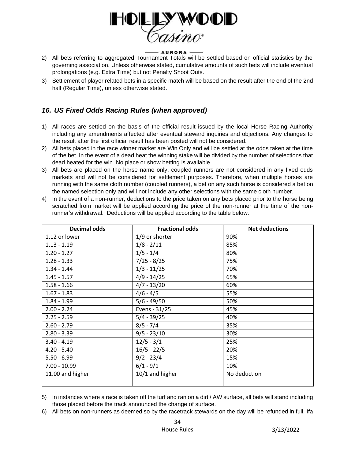

## - AURORA -

- 2) All bets referring to aggregated Tournament Totals will be settled based on official statistics by the governing association. Unless otherwise stated, cumulative amounts of such bets will include eventual prolongations (e.g. Extra Time) but not Penalty Shoot Outs.
- 3) Settlement of player related bets in a specific match will be based on the result after the end of the 2nd half (Regular Time), unless otherwise stated.

# *16. US Fixed Odds Racing Rules (when approved)*

- 1) All races are settled on the basis of the official result issued by the local Horse Racing Authority including any amendments affected after eventual steward inquiries and objections. Any changes to the result after the first official result has been posted will not be considered.
- 2) All bets placed in the race winner market are Win Only and will be settled at the odds taken at the time of the bet. In the event of a dead heat the winning stake will be divided by the number of selections that dead heated for the win. No place or show betting is available.
- 3) All bets are placed on the horse name only, coupled runners are not considered in any fixed odds markets and will not be considered for settlement purposes. Therefore, when multiple horses are running with the same cloth number (coupled runners), a bet on any such horse is considered a bet on the named selection only and will not include any other selections with the same cloth number.
- 4) In the event of a non-runner, deductions to the price taken on any bets placed prior to the horse being scratched from market will be applied according the price of the non-runner at the time of the nonrunner's withdrawal. Deductions will be applied according to the table below.

| <b>Decimal odds</b> | <b>Fractional odds</b>      | <b>Net deductions</b> |
|---------------------|-----------------------------|-----------------------|
| 1.12 or lower       | 1/9 or shorter              | 90%                   |
| $1.13 - 1.19$       | $1/8 - 2/11$                | 85%                   |
| $1.20 - 1.27$       | $\frac{1}{5} - \frac{1}{4}$ | 80%                   |
| $1.28 - 1.33$       | $7/25 - 8/25$               | 75%                   |
| $1.34 - 1.44$       | $1/3 - 11/25$               | 70%                   |
| $1.45 - 1.57$       | $4/9 - 14/25$               | 65%                   |
| $1.58 - 1.66$       | $4/7 - 13/20$               | 60%                   |
| $1.67 - 1.83$       | $4/6 - 4/5$                 | 55%                   |
| $1.84 - 1.99$       | $5/6 - 49/50$               | 50%                   |
| $2.00 - 2.24$       | Evens - 31/25               | 45%                   |
| $2.25 - 2.59$       | $5/4 - 39/25$               | 40%                   |
| $2.60 - 2.79$       | $8/5 - 7/4$                 | 35%                   |
| $2.80 - 3.39$       | $9/5 - 23/10$               | 30%                   |
| $3.40 - 4.19$       | $12/5 - 3/1$                | 25%                   |
| $4.20 - 5.40$       | $16/5 - 22/5$               | 20%                   |
| $5.50 - 6.99$       | $9/2 - 23/4$                | 15%                   |
| $7.00 - 10.99$      | $6/1 - 9/1$                 | 10%                   |
| 11.00 and higher    | 10/1 and higher             | No deduction          |
|                     |                             |                       |

5) In instances where a race is taken off the turf and ran on a dirt / AW surface, all bets will stand including those placed before the track announced the change of surface.

6) All bets on non-runners as deemed so by the racetrack stewards on the day will be refunded in full. Ifa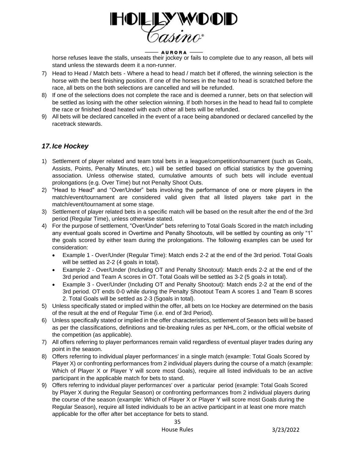

horse refuses leave the stalls, unseats their jockey or fails to complete due to any reason, all bets will stand unless the stewards deem it a non-runner.

- 7) Head to Head / Match bets Where a head to head / match bet if offered, the winning selection is the horse with the best finishing position. If one of the horses in the head to head is scratched before the race, all bets on the both selections are cancelled and will be refunded.
- 8) If one of the selections does not complete the race and is deemed a runner, bets on that selection will be settled as losing with the other selection winning. If both horses in the head to head fail to complete the race or finished dead heated with each other all bets will be refunded.
- 9) All bets will be declared cancelled in the event of a race being abandoned or declared cancelled by the racetrack stewards.

# *17.Ice Hockey*

- 1) Settlement of player related and team total bets in a league/competition/tournament (such as Goals, Assists, Points, Penalty Minutes, etc.) will be settled based on official statistics by the governing association. Unless otherwise stated, cumulative amounts of such bets will include eventual prolongations (e.g. Over Time) but not Penalty Shoot Outs.
- 2) "Head to Head" and "Over/Under" bets involving the performance of one or more players in the match/event/tournament are considered valid given that all listed players take part in the match/event/tournament at some stage.
- 3) Settlement of player related bets in a specific match will be based on the result after the end of the 3rd period (Regular Time), unless otherwise stated.
- 4) For the purpose of settlement, "Over/Under" bets referring to Total Goals Scored in the match including any eventual goals scored in Overtime and Penalty Shootouts, will be settled by counting as only "1" the goals scored by either team during the prolongations. The following examples can be used for consideration:
	- Example 1 Over/Under (Regular Time): Match ends 2-2 at the end of the 3rd period. Total Goals will be settled as 2-2 (4 goals in total).
	- Example 2 Over/Under (Including OT and Penalty Shootout): Match ends 2-2 at the end of the 3rd period and Team A scores in OT. Total Goals will be settled as 3-2 (5 goals in total).
	- Example 3 Over/Under (Including OT and Penalty Shootout): Match ends 2-2 at the end of the 3rd period. OT ends 0-0 while during the Penalty Shootout Team A scores 1 and Team B scores 2. Total Goals will be settled as 2-3 (5goals in total).
- 5) Unless specifically stated or implied within the offer, all bets on Ice Hockey are determined on the basis of the result at the end of Regular Time (i.e. end of 3rd Period).
- 6) Unless specifically stated or implied in the offer characteristics, settlement of Season bets will be based as per the classifications, definitions and tie-breaking rules as per NHL.com, or the official website of the competition (as applicable).
- 7) All offers referring to player performances remain valid regardless of eventual player trades during any point in the season.
- 8) Offers referring to individual player performances' in a single match (example: Total Goals Scored by Player X) or confronting performances from 2 individual players during the course of a match (example: Which of Player X or Player Y will score most Goals), require all listed individuals to be an active participant in the applicable match for bets to stand.
- 9) Offers referring to individual player performances' over a particular period (example: Total Goals Scored by Player X during the Regular Season) or confronting performances from 2 individual players during the course of the season (example: Which of Player X or Player Y will score most Goals during the Regular Season), require all listed individuals to be an active participant in at least one more match applicable for the offer after bet acceptance for bets to stand.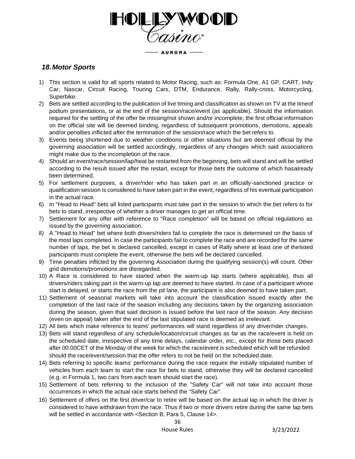**ADIDID** - AURORA -

## *18.Motor Sports*

- 1) This section is valid for all sports related to Motor Racing, such as: Formula One, A1 GP, CART, Indy Car, Nascar, Circuit Racing, Touring Cars, DTM, Endurance, Rally, Rally-cross, Motorcycling, Superbike.
- 2) Bets are settled according to the publication of live timing and classification as shown on TV at the timeof podium presentations, or at the end of the session/race/event (as applicable). Should the information required for the settling of the offer be missing/not shown and/or incomplete, the first official information on the official site will be deemed binding, regardless of subsequent promotions, demotions, appeals and/or penalties inflicted after the termination of the session/race which the bet refers to.
- 3) Events being shortened due to weather conditions or other situations but are deemed official by the governing association will be settled accordingly, regardless of any changes which said associations might make due to the incompletion of the race.
- 4) Should an event/race/session/lap/heat be restarted from the beginning, bets will stand and will be settled according to the result issued after the restart, except for those bets the outcome of which hasalready been determined.
- 5) For settlement purposes, a driver/rider who has taken part in an officially-sanctioned practice or qualification session is considered to have taken part in the event, regardless of his eventual participation in the actual race.
- 6) In "Head to Head" bets all listed participants must take part in the session to which the bet refers to for bets to stand, irrespective of whether a driver manages to get an official time.
- 7) Settlement for any offer with reference to "Race completion" will be based on official regulations as issued by the governing association.
- 8) A "Head to Head" bet where both drivers/riders fail to complete the race is determined on the basis of the most laps completed. In case the participants fail to complete the race and are recorded for the same number of laps, the bet is declared cancelled, except in cases of Rally where at least one of thelisted participants must complete the event, otherwise the bets will be declared cancelled.
- 9) Time penalties inflicted by the governing Association during the qualifying session(s) will count. Other grid demotions/promotions are disregarded.
- 10) A Race is considered to have started when the warm-up lap starts (where applicable), thus all drivers/riders taking part in the warm-up lap are deemed to have started. In case of a participant whose start is delayed, or starts the race from the pit lane, the participant is also deemed to have taken part.
- 11) Settlement of seasonal markets will take into account the classification issued exactly after the completion of the last race of the season including any decisions taken by the organizing association during the season, given that said decision is issued before the last race of the season. Any decision (even on appeal) taken after the end of the last stipulated race is deemed as irrelevant.
- 12) All bets which make reference to teams' performances will stand regardless of any driver/rider changes.
- 13) Bets will stand regardless of any schedule/location/circuit changes as far as the race/event is held on the scheduled date, irrespective of any time delays, calendar order, etc., except for those bets placed after 00:00CET of the Monday of the week for which the race/event is scheduled which will be refunded should the race/event/session that the offer refers to not be held on the scheduled date.
- 14) Bets referring to specific teams' performance during the race require the initially stipulated number of vehicles from each team to start the race for bets to stand, otherwise they will be declared cancelled (e.g. in Formula 1, two cars from each team should start the race).
- 15) Settlement of bets referring to the inclusion of the "Safety Car" will not take into account those occurrences in which the actual race starts behind the "Safety Car".
- 16) Settlement of offers on the first driver/car to retire will be based on the actual lap in which the driver is considered to have withdrawn from the race. Thus if two or more drivers retire during the same lap bets will be settled in accordance with <Section B, Para 5, Clause 14>.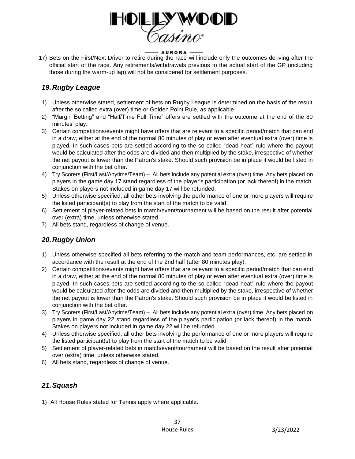

17) Bets on the First/Next Driver to retire during the race will include only the outcomes deriving after the official start of the race. Any retirements/withdrawals previous to the actual start of the GP (including those during the warm-up lap) will not be considered for settlement purposes.

# *19.Rugby League*

- 1) Unless otherwise stated, settlement of bets on Rugby League is determined on the basis of the result after the so called extra (over) time or Golden Point Rule, as applicable.
- 2) "Margin Betting" and "Half/Time Full Time" offers are settled with the outcome at the end of the 80 minutes' play.
- 3) Certain competitions/events might have offers that are relevant to a specific period/match that can end in a draw, either at the end of the normal 80 minutes of play or even after eventual extra (over) time is played. In such cases bets are settled according to the so-called "dead-heat" rule where the payout would be calculated after the odds are divided and then multiplied by the stake, irrespective of whether the net payout is lower than the Patron's stake. Should such provision be in place it would be listed in conjunction with the bet offer.
- 4) Try Scorers (First/Last/Anytime/Team) All bets include any potential extra (over) time. Any bets placed on players in the game day 17 stand regardless of the player's participation (or lack thereof) in the match. Stakes on players not included in game day 17 will be refunded.
- 5) Unless otherwise specified, all other bets involving the performance of one or more players will require the listed participant(s) to play from the start of the match to be valid.
- 6) Settlement of player-related bets in match/event/tournament will be based on the result after potential over (extra) time, unless otherwise stated.
- 7) All bets stand, regardless of change of venue.

# *20.Rugby Union*

- 1) Unless otherwise specified all bets referring to the match and team performances, etc. are settled in accordance with the result at the end of the 2nd half (after 80 minutes play).
- 2) Certain competitions/events might have offers that are relevant to a specific period/match that can end in a draw, either at the end of the normal 80 minutes of play or even after eventual extra (over) time is played. In such cases bets are settled according to the so-called "dead-heat" rule where the payout would be calculated after the odds are divided and then multiplied by the stake, irrespective of whether the net payout is lower than the Patron's stake. Should such provision be in place it would be listed in conjunction with the bet offer.
- 3) Try Scorers (First/Last/Anytime/Team) All bets include any potential extra (over) time. Any bets placed on players in game day 22 stand regardless of the player's participation (or lack thereof) in the match. Stakes on players not included in game day 22 will be refunded.
- 4) Unless otherwise specified, all other bets involving the performance of one or more players will require the listed participant(s) to play from the start of the match to be valid.
- 5) Settlement of player-related bets in match/event/tournament will be based on the result after potential over (extra) time, unless otherwise stated.
- 6) All bets stand, regardless of change of venue.

# *21.Squash*

1) All House Rules stated for Tennis apply where applicable.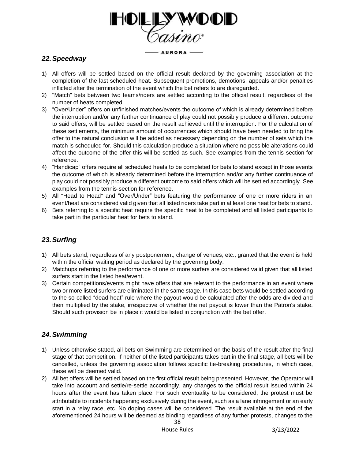

# *22.Speedway*

- 1) All offers will be settled based on the official result declared by the governing association at the completion of the last scheduled heat. Subsequent promotions, demotions, appeals and/or penalties inflicted after the termination of the event which the bet refers to are disregarded.
- 2) "Match" bets between two teams/riders are settled according to the official result, regardless of the number of heats completed.
- 3) "Over/Under" offers on unfinished matches/events the outcome of which is already determined before the interruption and/or any further continuance of play could not possibly produce a different outcome to said offers, will be settled based on the result achieved until the interruption. For the calculation of these settlements, the minimum amount of occurrences which should have been needed to bring the offer to the natural conclusion will be added as necessary depending on the number of sets which the match is scheduled for. Should this calculation produce a situation where no possible alterations could affect the outcome of the offer this will be settled as such. See examples from the tennis-section for reference.
- 4) "Handicap" offers require all scheduled heats to be completed for bets to stand except in those events the outcome of which is already determined before the interruption and/or any further continuance of play could not possibly produce a different outcome to said offers which will be settled accordingly. See examples from the tennis-section for reference.
- 5) All "Head to Head" and "Over/Under" bets featuring the performance of one or more riders in an event/heat are considered valid given that all listed riders take part in at least one heat for bets to stand.
- 6) Bets referring to a specific heat require the specific heat to be completed and all listed participants to take part in the particular heat for bets to stand.

# *23.Surfing*

- 1) All bets stand, regardless of any postponement, change of venues, etc., granted that the event is held within the official waiting period as declared by the governing body.
- 2) Matchups referring to the performance of one or more surfers are considered valid given that all listed surfers start in the listed heat/event.
- 3) Certain competitions/events might have offers that are relevant to the performance in an event where two or more listed surfers are eliminated in the same stage. In this case bets would be settled according to the so-called "dead-heat" rule where the payout would be calculated after the odds are divided and then multiplied by the stake, irrespective of whether the net payout is lower than the Patron's stake. Should such provision be in place it would be listed in conjunction with the bet offer.

# *24.Swimming*

- 1) Unless otherwise stated, all bets on Swimming are determined on the basis of the result after the final stage of that competition. If neither of the listed participants takes part in the final stage, all bets will be cancelled, unless the governing association follows specific tie-breaking procedures, in which case, these will be deemed valid.
- 2) All bet offers will be settled based on the first official result being presented. However, the Operator will take into account and settle/re-settle accordingly, any changes to the official result issued within 24 hours after the event has taken place. For such eventuality to be considered, the protest must be attributable to incidents happening exclusively during the event, such as a lane infringement or an early start in a relay race, etc. No doping cases will be considered. The result available at the end of the aforementioned 24 hours will be deemed as binding regardless of any further protests, changes to the

38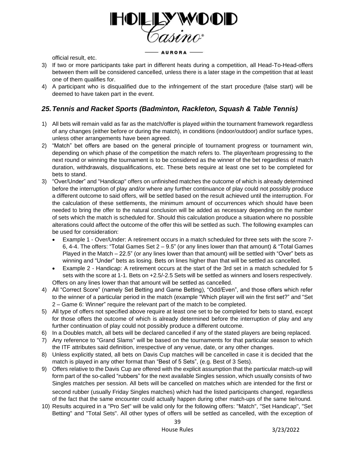

official result, etc.

- 3) If two or more participants take part in different heats during a competition, all Head-To-Head-offers between them will be considered cancelled, unless there is a later stage in the competition that at least one of them qualifies for.
- 4) A participant who is disqualified due to the infringement of the start procedure (false start) will be deemed to have taken part in the event.

# *25.Tennis and Racket Sports (Badminton, Rackleton, Squash & Table Tennis)*

- 1) All bets will remain valid as far as the match/offer is played within the tournament framework regardless of any changes (either before or during the match), in conditions (indoor/outdoor) and/or surface types, unless other arrangements have been agreed.
- 2) "Match" bet offers are based on the general principle of tournament progress or tournament win, depending on which phase of the competition the match refers to. The player/team progressing to the next round or winning the tournament is to be considered as the winner of the bet regardless of match duration, withdrawals, disqualifications, etc. These bets require at least one set to be completed for bets to stand.
- 3) "Over/Under" and "Handicap" offers on unfinished matches the outcome of which is already determined before the interruption of play and/or where any further continuance of play could not possibly produce a different outcome to said offers, will be settled based on the result achieved until the interruption. For the calculation of these settlements, the minimum amount of occurrences which should have been needed to bring the offer to the natural conclusion will be added as necessary depending on the number of sets which the match is scheduled for. Should this calculation produce a situation where no possible alterations could affect the outcome of the offer this will be settled as such. The following examples can be used for consideration:
	- Example 1 Over/Under: A retirement occurs in a match scheduled for three sets with the score 7- 6, 4-4. The offers: "Total Games Set  $2 - 9.5$ " (or any lines lower than that amount) & "Total Games Played in the Match – 22.5" (or any lines lower than that amount) will be settled with "Over" bets as winning and "Under" bets as losing. Bets on lines higher than that will be settled as cancelled.
	- Example 2 Handicap: A retirement occurs at the start of the 3rd set in a match scheduled for 5 sets with the score at 1-1. Bets on +2.5/-2.5 Sets will be settled as winners and losers respectively. Offers on any lines lower than that amount will be settled as cancelled.
- 4) All "Correct Score" (namely Set Betting and Game Betting), "Odd/Even", and those offers which refer to the winner of a particular period in the match (example "Which player will win the first set?" and "Set 2 – Game 6: Winner" require the relevant part of the match to be completed.
- 5) All type of offers not specified above require at least one set to be completed for bets to stand, except for those offers the outcome of which is already determined before the interruption of play and any further continuation of play could not possibly produce a different outcome.
- 6) In a Doubles match, all bets will be declared cancelled if any of the stated players are being replaced.
- 7) Any reference to "Grand Slams" will be based on the tournaments for that particular season to which the ITF attributes said definition, irrespective of any venue, date, or any other changes.
- 8) Unless explicitly stated, all bets on Davis Cup matches will be cancelled in case it is decided that the match is played in any other format than "Best of 5 Sets", (e.g. Best of 3 Sets).
- 9) Offers relative to the Davis Cup are offered with the explicit assumption that the particular match-up will form part of the so-called "rubbers" for the next available Singles session, which usually consists of two Singles matches per session. All bets will be cancelled on matches which are intended for the first or second rubber (usually Friday Singles matches) which had the listed participants changed, regardless of the fact that the same encounter could actually happen during other match-ups of the same tie/round.
- 10) Results acquired in a "Pro Set" will be valid only for the following offers: "Match", "Set Handicap", "Set Betting" and "Total Sets". All other types of offers will be settled as cancelled, with the exception of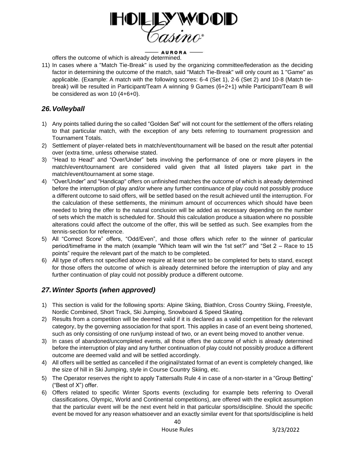

offers the outcome of which is already determined.

11) In cases where a "Match Tie-Break" is used by the organizing committee/federation as the deciding factor in determining the outcome of the match, said "Match Tie-Break" will only count as 1 "Game" as applicable. (Example: A match with the following scores: 6-4 (Set 1), 2-6 (Set 2) and 10-8 (Match tiebreak) will be resulted in Participant/Team A winning 9 Games (6+2+1) while Participant/Team B will be considered as won 10 (4+6+0).

# *26.Volleyball*

- 1) Any points tallied during the so called "Golden Set" will not count for the settlement of the offers relating to that particular match, with the exception of any bets referring to tournament progression and Tournament Totals.
- 2) Settlement of player-related bets in match/event/tournament will be based on the result after potential over (extra time, unless otherwise stated.
- 3) "Head to Head" and "Over/Under" bets involving the performance of one or more players in the match/event/tournament are considered valid given that all listed players take part in the match/event/tournament at some stage.
- 4) "Over/Under" and "Handicap" offers on unfinished matches the outcome of which is already determined before the interruption of play and/or where any further continuance of play could not possibly produce a different outcome to said offers, will be settled based on the result achieved until the interruption. For the calculation of these settlements, the minimum amount of occurrences which should have been needed to bring the offer to the natural conclusion will be added as necessary depending on the number of sets which the match is scheduled for. Should this calculation produce a situation where no possible alterations could affect the outcome of the offer, this will be settled as such. See examples from the tennis-section for reference.
- 5) All "Correct Score" offers, "Odd/Even", and those offers which refer to the winner of particular period/timeframe in the match (example "Which team will win the 1st set?" and "Set 2 – Race to 15 points" require the relevant part of the match to be completed.
- 6) All type of offers not specified above require at least one set to be completed for bets to stand, except for those offers the outcome of which is already determined before the interruption of play and any further continuation of play could not possibly produce a different outcome.

# *27.Winter Sports (when approved)*

- 1) This section is valid for the following sports: Alpine Skiing, Biathlon, Cross Country Skiing, Freestyle, Nordic Combined, Short Track, Ski Jumping, Snowboard & Speed Skating.
- 2) Results from a competition will be deemed valid if it is declared as a valid competition for the relevant category, by the governing association for that sport. This applies in case of an event being shortened, such as only consisting of one run/jump instead of two, or an event being moved to another venue.
- 3) In cases of abandoned/uncompleted events, all those offers the outcome of which is already determined before the interruption of play and any further continuation of play could not possibly produce a different outcome are deemed valid and will be settled accordingly.
- 4) All offers will be settled as cancelled if the original/stated format of an event is completely changed, like the size of hill in Ski Jumping, style in Course Country Skiing, etc.
- 5) The Operator reserves the right to apply Tattersalls Rule 4 in case of a non-starter in a "Group Betting" ("Best of X") offer.
- 6) Offers related to specific Winter Sports events (excluding for example bets referring to Overall classifications, Olympic, World and Continental competitions), are offered with the explicit assumption that the particular event will be the next event held in that particular sports/discipline. Should the specific event be moved for any reason whatsoever and an exactly similar event for that sports/discipline is held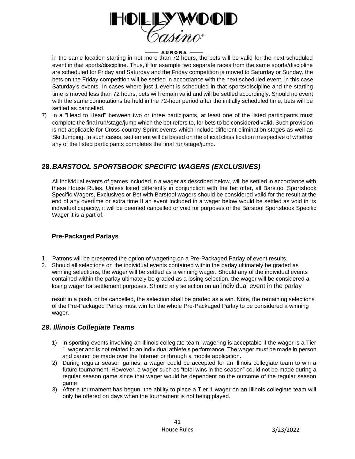

in the same location starting in not more than 72 hours, the bets will be valid for the next scheduled event in that sports/discipline. Thus, if for example two separate races from the same sports/discipline are scheduled for Friday and Saturday and the Friday competition is moved to Saturday or Sunday, the bets on the Friday competition will be settled in accordance with the next scheduled event, in this case Saturday's events. In cases where just 1 event is scheduled in that sports/discipline and the starting time is moved less than 72 hours, bets will remain valid and will be settled accordingly. Should no event with the same connotations be held in the 72-hour period after the initially scheduled time, bets will be settled as cancelled.

7) In a "Head to Head" between two or three participants, at least one of the listed participants must complete the final run/stage/jump which the bet refers to, for bets to be considered valid. Such provision is not applicable for Cross-country Sprint events which include different elimination stages as well as Ski Jumping. In such cases, settlement will be based on the official classification irrespective of whether any of the listed participants completes the final run/stage/jump.

# **28.***BARSTOOL SPORTSBOOK SPECIFIC WAGERS (EXCLUSIVES)*

All individual events of games included in a wager as described below, will be settled in accordance with these House Rules. Unless listed differently in conjunction with the bet offer, all Barstool Sportsbook Specific Wagers, Exclusives or Bet with Barstool wagers should be considered valid for the result at the end of any overtime or extra time If an event included in a wager below would be settled as void in its individual capacity, it will be deemed cancelled or void for purposes of the Barstool Sportsbook Specific Wager it is a part of.

## **Pre-Packaged Parlays**

- 1. Patrons will be presented the option of wagering on a Pre-Packaged Parlay of event results.
- 2. Should all selections on the individual events contained within the parlay ultimately be graded as winning selections, the wager will be settled as a winning wager. Should any of the individual events contained within the parlay ultimately be graded as a losing selection, the wager will be considered a losing wager for settlement purposes. Should any selection on an individual event in the parlay

result in a push, or be cancelled, the selection shall be graded as a win. Note, the remaining selections of the Pre-Packaged Parlay must win for the whole Pre-Packaged Parlay to be considered a winning wager.

## *29. Illinois Collegiate Teams*

- 1) In sporting events involving an Illinois collegiate team, wagering is acceptable if the wager is a Tier 1 wager and is not related to an individual athlete's performance. The wager must be made in person and cannot be made over the Internet or through a mobile application.
- 2) During regular season games, a wager could be accepted for an Illinois collegiate team to win a future tournament. However, a wager such as "total wins in the season" could not be made during a regular season game since that wager would be dependent on the outcome of the regular season game
- 3) After a tournament has begun, the ability to place a Tier 1 wager on an Illinois collegiate team will only be offered on days when the tournament is not being played.